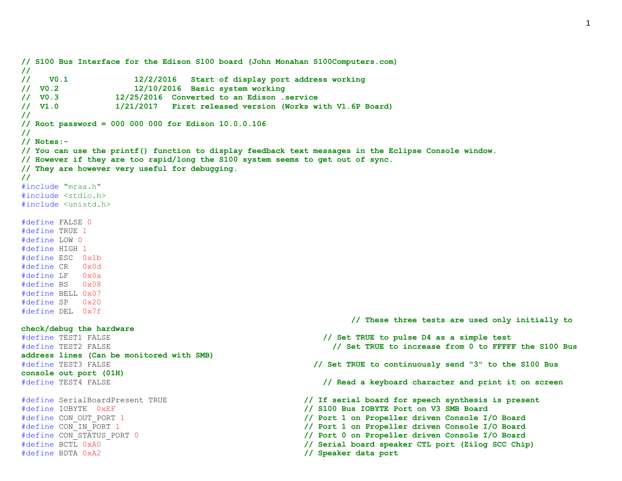```
// S100 Bus Interface for the Edison S100 board (John Monahan S100Computers.com)
//
// V0.1 12/2/2016 Start of display port address working
// V0.2 12/10/2016 Basic system working
// V0.3 12/25/2016 Converted to an Edison .service
// V1.0 1/21/2017 First released version (Works with V1.6P Board)
//
// Root password = 000 000 000 for Edison 10.0.0.106
//
// Notes:-
// You can use the printf() function to display feedback text messages in the Eclipse Console window.
// However if they are too rapid/long the S100 system seems to get out of sync.
// They are however very useful for debugging.
//
#include "mraa.h"
#include <stdio.h>
#include <unistd.h>
#define FALSE 0
#define TRUE 1
#define LOW 0
#define HIGH 1
#define ESC 0x1b
#define CR 0x0d
#define LF 0x0a
#define BS 0x08
#define BELL 0x07
#define SP 0x20
#define DEL 0x7f
                                                       // These three tests are used only initially to 
check/debug the hardware
#define TEST1 FALSE // Set TRUE to pulse D4 as a simple test
#define TEST2 FALSE // Set TRUE to increase from 0 to FFFFF the S100 Bus 
address lines (Can be monitored with SMB)
#define TEST3 FALSE // Set TRUE to continuously send "3" to the S100 Bus 
console out port (01H)
#define TEST4 FALSE // Read a keyboard character and print it on screen
#define SerialBoardPresent TRUE // If serial board for speech synthesis is present
#define IOBYTE 0xEF // S100 Bus IOBYTE Port on V3 SMB Board
#define CON_OUT_PORT 1 // Port 1 on Propeller driven Console I/O Board
#define CON_IN_PORT 1 // Port 1 on Propeller driven Console I/O Board
#define CON_STATUS_PORT 0 // Port 0 on Propeller driven Console I/O Board
#define BCTL 0xA0 // Serial board speaker CTL port (Zilog SCC Chip)
#define BDTA 0xA2 // Speaker data port
```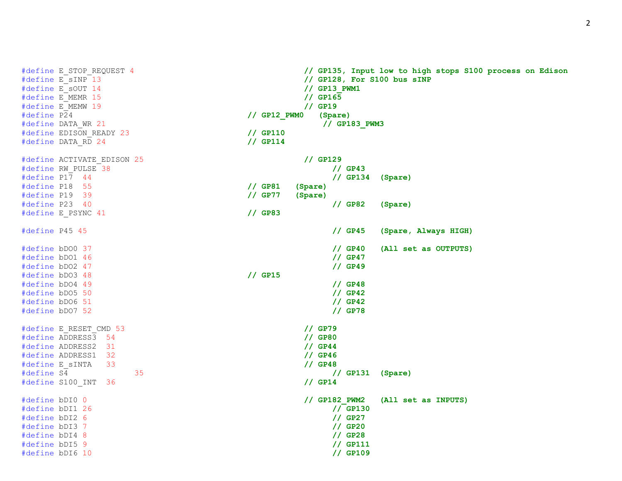2

#define E\_MEMW 19 **// GP19** #define EDISON\_READY 23 **// GP110** #define DATA\_RD 24 **// GP114** #define P18 55 **// GP81 (Spare)** #define P19 39 **// GP77 (Spare)** #define E\_PSYNC 41 **// GP83** #define bDO3 48 **// GP15** #define E\_RESET\_CMD 53 **// GP79** #define ADDRESS3 54 **// GP80** #define ADDRESS2 31 **// GP44** #define ADDRESS1 32 **// GP46** #define E\_sINTA 33 **// GP48** #define S100\_INT 36 **// GP14**

```
#define E_STOP_REQUEST 4 // GP135, Input low to high stops S100 process on Edison
#define E_sINP 13 // GP128, For S100 bus sINP
#define E_sOUT 14 // GP13_PWM1
#define E_MEMR 15 // GP165
#define P24 // GP12_PWM0 (Spare)
#define DATA_WR 21 // GP183_PWM3
#define ACTIVATE_EDISON 25 // GP129
#define RW_PULSE 38 // GP43
#define P17 44 // GP134 (Spare)
#define P23 40 // GP82 (Spare)
#define P45 45 // GP45 (Spare, Always HIGH)
#define bDO0 37 // GP40 (All set as OUTPUTS)
#define bDO1 46 // GP47
#define bDO2 47 // GP49
#define bDO4 49 // GP48
#define bDO5 50 // GP42
#define bDO6 51 // GP42
#define bDO7 52 // GP78
#define S4 35 // GP131 (Spare)
#define bDI0 0 // GP182_PWM2 (All set as INPUTS)
#define bDI1 26 // GP130
#define bDI2 6 // GP27
#define bDI3 7 // GP20
#define bDI4 8 // GP28
#define bDI5 9 // GP111
#define bDI6 10 // GP109
```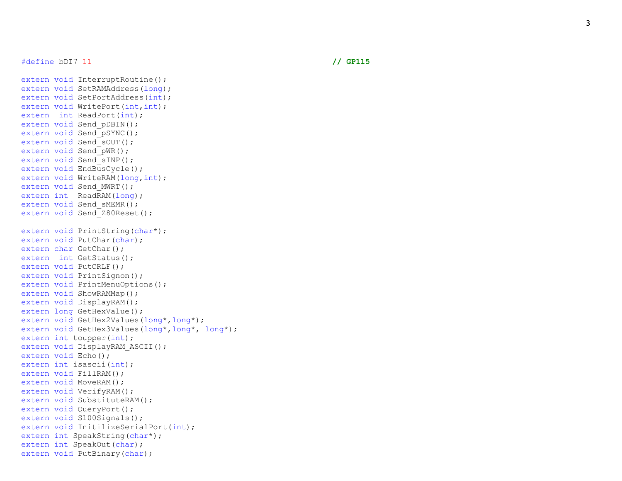#define bDI7 11 **// GP115**

```
extern void InterruptRoutine();
extern void SetRAMAddress(long);
extern void SetPortAddress(int);
extern void WritePort(int, int);
extern int ReadPort(int);
extern void Send pDBIN();
extern void Send pSYNC();
extern void Send sOUT();
extern void Send pWR();
extern void Send sINP();
extern void EndBusCycle();
extern void WriteRAM(long, int);
extern void Send MWRT();
extern int ReadRAM(long);
extern void Send sMEMR();
extern void Send Z80Reset();
extern void PrintString(char*);
extern void PutChar(char);
extern char GetChar();
extern int GetStatus();
extern void PutCRLF();
extern void PrintSignon();
extern void PrintMenuOptions();
extern void ShowRAMMap();
extern void DisplayRAM();
extern long GetHexValue();
extern void GetHex2Values(long*,long*);
extern void GetHex3Values(long*,long*, long*);
extern int toupper(int);
extern void DisplayRAM ASCII();
extern void Echo();
extern int isascii(int);
extern void FillRAM();
extern void MoveRAM();
extern void VerifyRAM();
extern void SubstituteRAM();
extern void QueryPort();
extern void S100Signals();
extern void InitilizeSerialPort(int);
extern int SpeakString(char*);
extern int SpeakOut(char);
extern void PutBinary(char);
```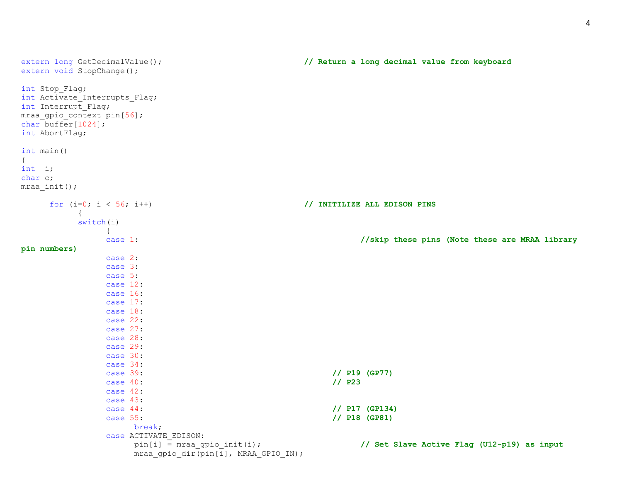```
extern long GetDecimalValue(); // Return a long decimal value from keyboard
extern void StopChange();
int Stop_Flag;
int Activate Interrupts Flag;
int Interrupt_Flag;
mraa gpio context pin[56];
char buffer[1024];
int AbortFlag;
int main()
{
int i;
char c;
mraa_init();
    for (i=0; i < 56; i++) // INITILIZE ALL EDISON PINS
         {
        switch(i)
             {
             case 1: //skip these pins (Note these are MRAA library 
pin numbers)
             case 2:
             case 3:
             case 5:
             case 12:
             case 16:
             case 17:
             case 18:
             case 22:
             case 27:
             case 28:
             case 29:
             case 30:
             case 34:
             case 39: // P19 (GP77)
             case 40: // P23
             case 42:
             case 43:
             case 44: // P17 (GP134)
             case 55: // P18 (GP81)
                 break;
             case ACTIVATE_EDISON:
                 pin[i] = mraa_gpio_init(i); // Set Slave Active Flag (U12-p19) as input
                 mraa_gpio_dir(pin[i], MRAA_GPIO_IN);
```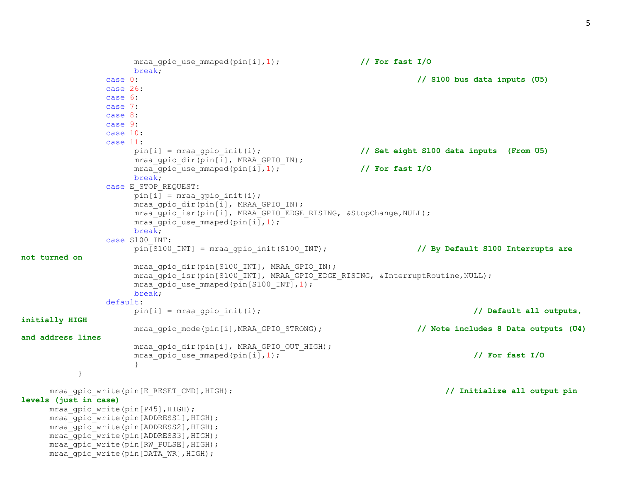```
mraa gpio use mmaped(pin[i],1); // For fast I/O
                     break;
                case 0: // S100 bus data inputs (U5)
                case 26:
               case 6:
               case 7:
               case 8:
               case 9:
               case 10:
                case 11:
                     pin[i] = mraa_gpio_init(i); // Set eight S100 data inputs (From U5)
                     mraa qpio dir(pin[i], MRAA GPIO IN);
                     mraa gpio use mmaped(pin[i],1); \overline{\hspace{1cm}} // For fast I/O
                     break;
                case E_STOP_REQUEST:
                     pin[i] = mraa qpio init(i);
                     mraa gpio dir(pin[i], MRAA GPIO IN);
                     mraa gpio isr(pin[i], MRAA GPIO EDGE RISING, &StopChange,NULL);
                     mraa qpio use mmaped(pin[i],1);
                     break;
                case S100_INT:
                     pin[S100 INT] = mraa gpio init(S100 INT); // By Default S100 Interrupts are
not turned on
                     mraa gpio dir(pin[S100 INT], MRAA GPIO IN);
                     mraa gpio isr(pin[S100 INT], MRAA GPIO EDGE RISING, &InterruptRoutine,NULL);
                     mraa qpio use mmaped(pin[S100 INT], 1);
                     break;
               default:
                     pin[i] = mraa_gpio_init(i); // Default all outputs, 
initially HIGH
                     mraa gpio mode(pin[i],MRAA GPIO STRONG); // Note includes 8 Data outputs (U4)
and address lines
                     mraa gpio dir(pin[i], MRAA GPIO OUT HIGH);
                     mraa_qpio_use_mmaped(pin[i],1); \overline{\phantom{a}} // For fast I/O
                     }
          }
     mraa gpio write(pin[E_RESET_CMD],HIGH); // Initialize all output pin // Initialize all output pin
levels (just in case)
     mraa qpio write(pin[P45], HIGH);
     mraa gpio write(pin[ADDRESS1], HIGH);
     mraa gpio write(pin[ADDRESS2], HIGH);
     mraa gpio write(pin[ADDRESS3], HIGH);
```
mraa qpio write(pin[RW\_PULSE], HIGH); mraa gpio write(pin[DATA WR], HIGH);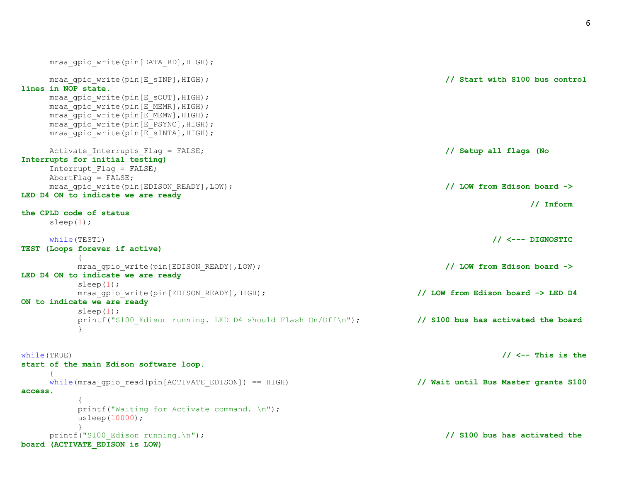| mraa gpio write (pin [DATA RD], HIGH);                                           |                                      |
|----------------------------------------------------------------------------------|--------------------------------------|
| mraa gpio write (pin [E sINP], HIGH);<br>lines in NOP state.                     | // Start with S100 bus control       |
| mraa gpio write (pin [E sOUT], HIGH);                                            |                                      |
| mraa gpio write (pin [E MEMR], HIGH);                                            |                                      |
| mraa gpio write (pin [E MEMW], HIGH);                                            |                                      |
| mraa gpio write (pin [E PSYNC], HIGH);<br>mraa gpio write (pin [E sINTA], HIGH); |                                      |
|                                                                                  |                                      |
| Activate Interrupts Flag = FALSE;                                                | // Setup all flags (No               |
| Interrupts for initial testing)                                                  |                                      |
| Interrupt Flag = FALSE;                                                          |                                      |
| AbortFlag = $FALSE;$                                                             | // LOW from Edison board ->          |
| mraa gpio write (pin [EDISON READY], LOW);<br>LED D4 ON to indicate we are ready |                                      |
|                                                                                  | $//$ Inform                          |
| the CPLD code of status                                                          |                                      |
| sleep $(1)$ ;                                                                    |                                      |
| while (TEST1)                                                                    | // <--- DIGNOSTIC                    |
| TEST (Loops forever if active)                                                   |                                      |
|                                                                                  |                                      |
| mraa gpio write (pin [EDISON READY], LOW);                                       | // LOW from Edison board ->          |
| LED D4 ON to indicate we are ready                                               |                                      |
| sleep(1);                                                                        |                                      |
| mraa_gpio_write(pin[EDISON_READY], HIGH);<br>ON to indicate we are ready         | // LOW from Edison board -> LED D4   |
| sleep $(1)$ ;                                                                    |                                      |
| printf ("S100 Edison running. LED D4 should Flash On/Off\n");                    | // S100 bus has activated the board  |
| $\}$                                                                             |                                      |
|                                                                                  |                                      |
| while (TRUE)                                                                     | // $\lt$ -- This is the              |
| start of the main Edison software loop.                                          |                                      |
|                                                                                  |                                      |
| while (mraa gpio read (pin [ACTIVATE EDISON]) == $HIGH$ )                        | // Wait until Bus Master grants S100 |
| access.                                                                          |                                      |
| printf("Waiting for Activate command. \n");                                      |                                      |
| usleep(10000);                                                                   |                                      |
|                                                                                  |                                      |
| $printf("S100 Edison running.\n',')$ ;                                           | // S100 bus has activated the        |
| board (ACTIVATE EDISON is LOW)                                                   |                                      |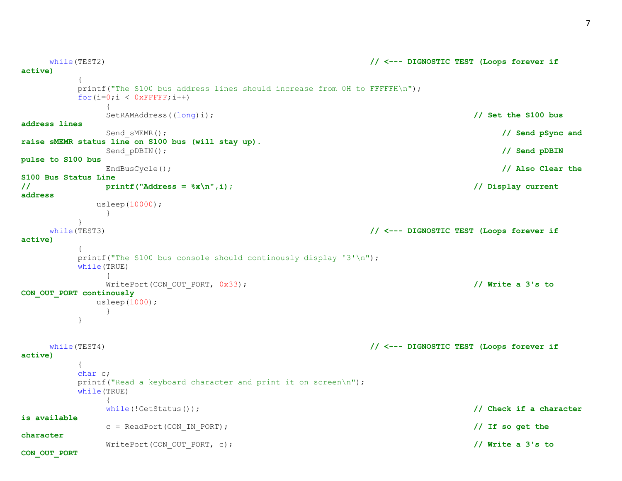while(TEST2) **// <--- DIGNOSTIC TEST (Loops forever if** 

```
active)
       {
       printf("The S100 bus address lines should increase from OH to FFFFFH\n");
       for(i=0; i < 0xFFFFF;i++)
           {
           SetRAMAddress((long)i); // Set the S100 bus 
address lines
           Send_sMEMR(); // Send pSync and 
raise sMEMR status line on S100 bus (will stay up).
           Send_pDBIN(); // Send pDBIN 
pulse to S100 bus
           EndBusCycle(); // Also Clear the 
S100 Bus Status Line
// printf("Address = %x\n",i); // Display current 
address
         usleep(10000);
           }
       }
   while(TEST3) // <--- DIGNOSTIC TEST (Loops forever if 
active)
       {
       printf("The S100 bus console should continously display '3'\n");
       while(TRUE)
           {
           WritePort(CON_OUT_PORT, 0x33); // Write a 3's to
CON_OUT_PORT continously
         usleep(1000);
           }
       }
   while(TEST4) // <--- DIGNOSTIC TEST (Loops forever if 
active)
       {
       char c;
       printf("Read a keyboard character and print it on screen\n");
       while(TRUE)
           {
           while(!GetStatus()); // Check if a character 
is available
           c = ReadPort(CON_IN_PORT); // If so get the 
character
           WritePort(CON_OUT_PORT, c); // Write a 3's to 
CON_OUT_PORT
```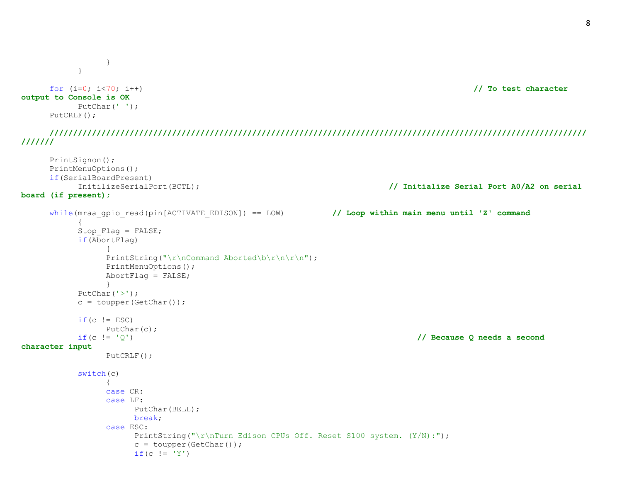```
}
       }
   for (i=0; i<70; i++) // To test character 
output to Console is OK
       PutChar(' ');
   PutCRLF();
```
**////////////////////////////////////////////////////////////////////////////////////////////////////////////////// ///////**

```
PrintSignon();
     PrintMenuOptions();
     if(SerialBoardPresent)
          InitilizeSerialPort(BCTL); // Initialize Serial Port A0/A2 on serial 
board (if present);
     while(mraa gpio read(pin[ACTIVATE EDISON]) == LOW) // Loop within main menu until 'Z' command
           {
          Stop Flag = FALSE;if(AbortFlag)
                {
                PrintString("\r\nCommand Aborted\b\r\n\r\n");
                PrintMenuOptions();
                AbortFlag = FALSE;}
          PutChar('>');
          c = \text{topper}(\text{GetChar}());
          if(c := ESC)PutChar(c);
          if(c != 'Q') // Because Q needs a second 
character input
                PutCRLF();
          switch(c)
                {
                case CR:
                case LF:
                     PutChar(BELL);
                     break;
                case ESC:
                     PrintString("\r\nTurn Edison CPUs Off. Reset S100 system. (Y/N):");
                     c = \text{topper(GetChar())};if(c != 'Y')
```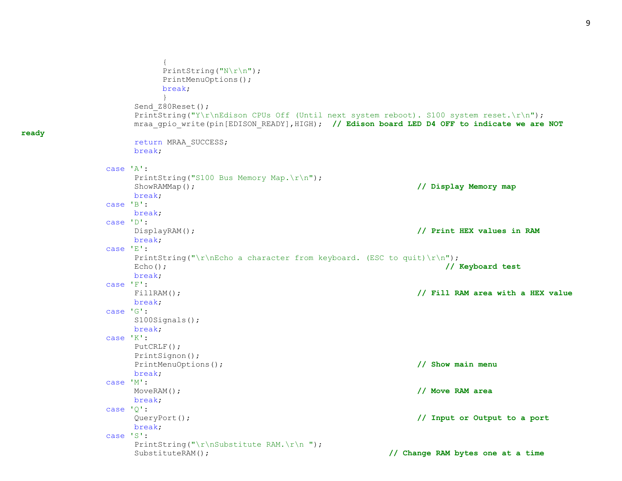```
{
        PrintString("N\r\n");
        PrintMenuOptions();
        break;
        }
    Send Z80Reset();
    PrintString("Y\r\nEdison CPUs Off (Until next system reboot). S100 system reset.\r\n");
    mraa gpio write(pin[EDISON READY],HIGH); // Edison board LED D4 OFF to indicate we are NOT
    return MRAA_SUCCESS;
    break;
case 'A':
    PrintString("S100 Bus Memory Map.\r\n");
    ShowRAMMap(); // Display Memory map
    break;
case 'B':
    break;
case 'D':
    DisplayRAM(); // Print HEX values in RAM
    break;
case 'E':
    PrintString("\r\nEcho a character from keyboard. (ESC to quit)\r\n");
    Echo(); // Keyboard test
    break;
case 'F':
    FillRAM(); // Fill RAM area with a HEX value
    break;
case 'G':
    S100Signals();
    break;
case 'K':
    PutCRLF();
    PrintSignon();
    PrintMenuOptions(); // Show main menu
    break;
case 'M':
    MoveRAM(); // Move RAM area
    break;
case 'Q':
    QueryPort(); // Input or Output to a port
    break;
case 'S':
    PrintString("\r\nSubstitute RAM.\r\n ");
    SubstituteRAM(); // Change RAM bytes one at a time
```
**ready**

## 9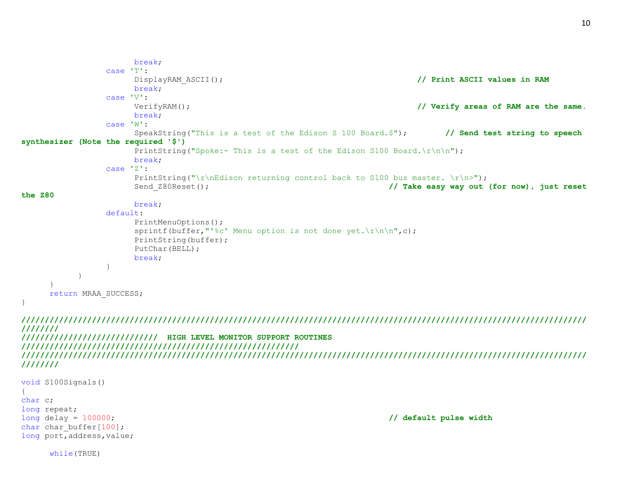```
break;
               case 'T':
                     DisplayRAM_ASCII(); // Print ASCII values in RAM
                    break;
               case 'V':
                     VerifyRAM(); // Verify areas of RAM are the same.
                    break;
               case 'W':
                     SpeakString("This is a test of the Edison S 100 Board.$"); // Send test string to speech 
synthesizer (Note the required '$')
                     PrintString("Spoke:- This is a test of the Edison S100 Board.\r\n\cdot\r\nbreak;
               case 'Z':
                     PrintString("\r\nEdison returning control back to S100 bus master. \r\n>");
                     Send Z80Reset(); // Take easy way out (for now), just reset
the Z80
                    break;
               default:
                     PrintMenuOptions();
                     sprintf(buffer,"'%c' Menu option is not done yet.\ln\ln\pi,c);
                     PrintString(buffer);
                     PutChar(BELL);
                    break;
                }
          }
     }
     return MRAA_SUCCESS;
}
////////////////////////////////////////////////////////////////////////////////////////////////////////////////////////
////////
///////////////////////////// HIGH LEVEL MONITOR SUPPORT ROUTINES 
///////////////////////////////////////////////////////////
////////////////////////////////////////////////////////////////////////////////////////////////////////////////////////
////////
void S100Signals()
{
char c;
long repeat;
long delay = 100000; // default pulse width
char char buffer[100];
```
while(TRUE)

long port, address, value;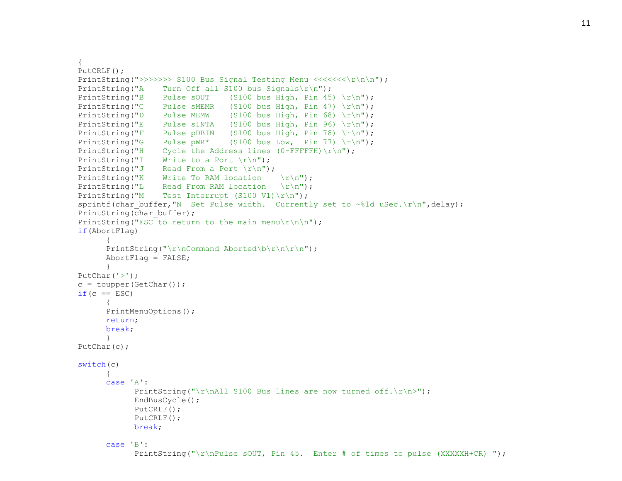```
{
PutCRLF();
PrintString(">>>>>>> S100 Bus Signal Testing Menu <<<<<<\\r\n\n");
PrintString("A Turn Off all S100 bus Signals\r\n");
PrintString("B Pulse sOUT (S100 bus High, Pin 45) \r\ln");
PrintString("C Pulse sMEMR (S100 bus High, Pin 47) \r\r\
PrintString("D Pulse MEMW (S100 bus High, Pin 68) \r\n");
PrintString("E Pulse sINTA (S100 bus High, Pin 96) \r\r\
PrintString("F Pulse pDBIN (S100 bus High, Pin 78) \r\r\
PrintString("G Pulse pWR* (S100 bus Low, Pin 77) \r\r\
PrintString("H Cycle the Address lines (0-FFFFFH)\rightharpoonup r);
PrintString("I Write to a Port \nr\n");
PrintString("J Read From a Port \nr\n");
PrintString("K Write To RAM location \r\n");
PrintString("L Read From RAM location \r\n");
PrintString("M Test Interrupt (S100 V1) \r\n");
sprintf(char buffer,"N Set Pulse width. Currently set to ~%ld uSec.\r\n",delay);
PrintString(char buffer);
PrintString("ESC to return to the main menu\r \n\cdot \r);
if(AbortFlag)
      {
      PrintString("\r\nCommand Aborted\b\r\n\r\n");
      AbortFlag = FALSE;}
PutChar('>');
c = \text{topper}(\text{GetChar}());if(c == ESC){
      PrintMenuOptions();
      return;
     break;
     }
PutChar(c);
switch(c)
      {
      case 'A':
            PrintString("\r\nAll S100 Bus lines are now turned off.\r\n>");
            EndBusCycle();
            PutCRLF();
            PutCRLF();
           break;
      case 'B':
            PrintString("\r\nPulse sOUT, Pin 45. Enter # of times to pulse (XXXXXH+CR) ");
```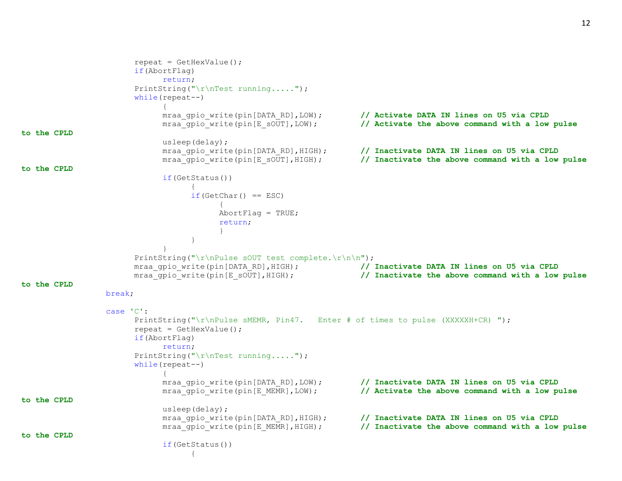```
repeat = GetHexValue();
                       if(AbortFlag)
                            return;
                       PrintString("\r\nTest running.....");
                       while(repeat--)
                            {
                            mraa gpio write(pin[DATA RD],LOW); // Activate DATA IN lines on U5 via CPLD
                            mraa_gpio_write(pin[E_sOUT],LOW); // Activate the above command with a low pulse 
to the CPLD
                            usleep(delay);
                            mraa gpio write(pin[DATA_RD],HIGH); // Inactivate DATA IN lines on U5 via CPLD
                            mraa_gpio_write(pin[E_sOUT],HIGH); // Inactivate the above command with a low pulse 
to the CPLD
                            if(GetStatus())
                                  {
                                  if(GetChar() == ESC){
                                        AbortFlag = TRUE;return;
                                        }
                                  }
                            }
                       PrintString("\r\nPulse sOUT test complete.\r\n\n");
                      mraa qpio write(pin[DATA_RD],HIGH); // Inactivate DATA IN lines on U5 via CPLD
                      mraa_gpio_write(pin[E_sOUT],HIGH); // Inactivate the above command with a low pulse 
to the CPLD
                 break;
                 case 'C':
                       PrintString("\r\nPulse sMEMR, Pin47. Enter # of times to pulse (XXXXXH+CR)");
                       repeat = GetHexValue();
                      if(AbortFlag)
                            return;
                       PrintString("\r\nTest running.....");
                       while(repeat--)
                            {
                            mraa gpio write(pin[DATA_RD],LOW); // Inactivate DATA IN lines on U5 via CPLD
                            mraa_gpio_write(pin[E_MEMR],LOW); // Activate the above command with a low pulse 
to the CPLD
                            usleep(delay);
                            mraa qpio write(pin[DATA_RD],HIGH); // Inactivate DATA IN lines on U5 via CPLD
                            mraa_gpio_write(pin[E_MEMR],HIGH); // Inactivate the above command with a low pulse 
to the CPLD
                            if(GetStatus())
                                  {
```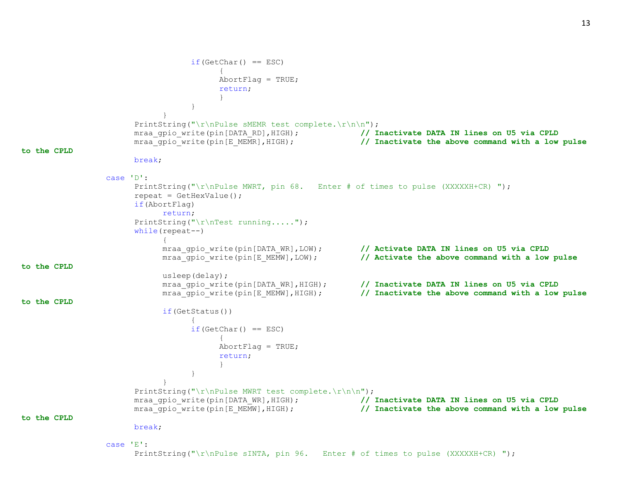```
if(GetChar() == ESC){
                                       AbortFlaq = TRUE;return;
                                        }
                                  }
                            }
                       PrintString("\r\nPulse sMEMR test complete.\r\n\n");
                      mraa gpio write(pin[DATA_RD],HIGH); // Inactivate DATA IN lines on U5 via CPLD
                      mraa gpio write(pin[E_MEMR], HIGH); // Inactivate the above command with a low pulse
to the CPLD
                      break;
                 case 'D':
                       PrintString("\r\nPulse MWRT, pin 68. Enter # of times to pulse (XXXXXH+CR) ");
                       repeat = GetHexValue();
                      if(AbortFlag)
                            return;
                       PrintString("\r\nTest running.....");
                      while(repeat--)
                            {
                            mraa gpio write(pin[DATA_WR],LOW); // Activate DATA IN lines on U5 via CPLD
                            mraa_gpio_write(pin[E_MEMW],LOW); // Activate the above command with a low pulse 
to the CPLD
                            usleep(delay);
                            mraa gpio write(pin[DATA_WR],HIGH); // Inactivate DATA IN lines on U5 via CPLD
                            mraa gpio write(pin[E_MEMW],HIGH); // Inactivate the above command with a low pulse
to the CPLD
                            if(GetStatus())
                                  {
                                  if(GetChar() == ESC){
                                       AbortFlag = TRUE;
                                       return;
                                        }
                                  }
                            }
                       PrintString("\r\nPulse MWRT test complete.\r\n\n");
                      mraa gpio write(pin[DATA_WR],HIGH); // Inactivate DATA IN lines on U5 via CPLD
                      mraa gpio write(pin[E_MEMW],HIGH); // Inactivate the above command with a low pulse
to the CPLD
                      break;
                 case 'E':
                       PrintString("\r\nPulse sINTA, pin 96. Enter # of times to pulse (XXXXHH+CR)");
```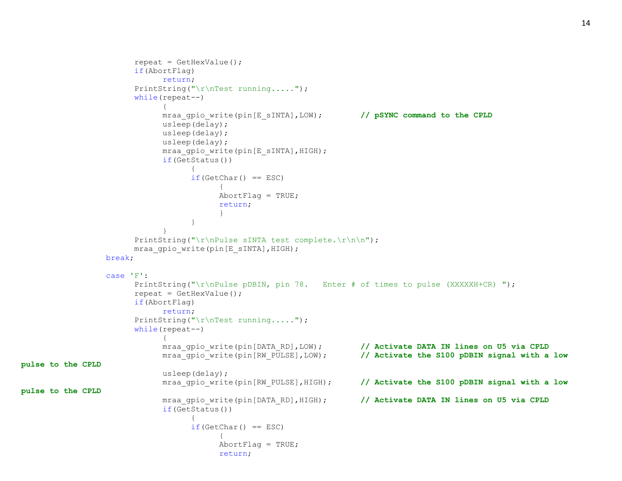```
repeat = GetHexValue();
                        if(AbortFlag)
                             return;
                        PrintString("\r\nTest running.....");
                        while(repeat--)
                              {
                             mraa gpio write(pin[E_sINTA], LOW); // pSYNC command to the CPLD
                             usleep(delay);
                             usleep(delay);
                             usleep(delay);
                             mraa gpio write(pin[E_sINTA], HIGH);
                             if(GetStatus())
                                    {
                                    if(GetChar() == ESC){
                                         AbortFlag = TRUE;return;
                                          }
                                    }
                              }
                        PrintString("\r\nPulse sINTA test complete.\r\n\n");
                       mraa gpio write(pin[E_sINTA], HIGH);
                 break;
                  case 'F':
                        PrintString("\r\nPulse pDBIN, pin 78. Enter # of times to pulse (XXXXHH+CR)");
                        repeat = GetHexValue();
                        if(AbortFlag)
                             return;
                        PrintString("\r\nTest running.....");
                        while(repeat--)
                              {
                             mraa qpio write(pin[DATA_RD],LOW); // Activate DATA IN lines on U5 via CPLD
                             mraa gpio write(pin[RW_PULSE],LOW); // Activate the S100 pDBIN signal with a low
pulse to the CPLD
                             usleep(delay);
                             mraa gpio write(pin[RW_PULSE], HIGH); // Activate the S100 pDBIN signal with a low
pulse to the CPLD
                             mraa gpio write(pin[DATA_RD],HIGH); // Activate DATA IN lines on U5 via CPLD
                             if(GetStatus())
                                    {
                                    if(GetChar() == ESC){
                                         AbortFlag = TRUE;return;
```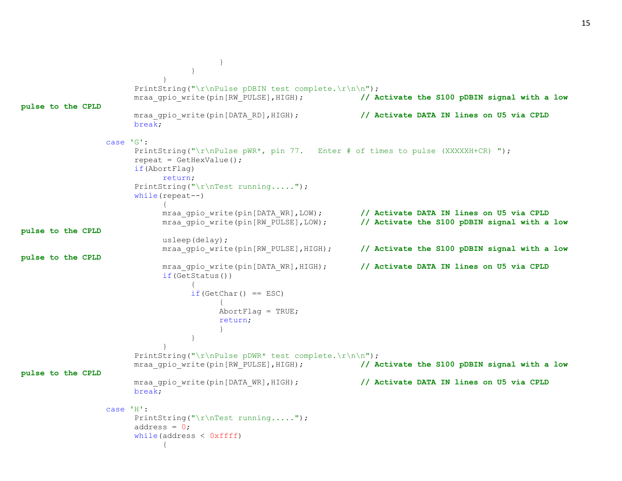```
}
                                   }
                             }
                       PrintString("\r\nPulse pDBIN test complete.\r\n\n");
                       mraa qpio write(pin[RW_PULSE], HIGH); // Activate the S100 pDBIN signal with a low
pulse to the CPLD
                       mraa gpio write(pin[DATA_RD],HIGH); // Activate DATA IN lines on U5 via CPLD
                       break;
                 case 'G':
                       PrintString("\r\nPulse pWR*, pin 77. Enter # of times to pulse (XXXXXH+CR) ");
                       repeat = GetHexValue();
                       if(AbortFlag)
                            return;
                       PrintString("\r\nTest running.....");
                       while(repeat--)
                             {
                            mraa gpio write(pin[DATA WR],LOW); // Activate DATA IN lines on U5 via CPLD
                            mraa gpio write(pin[RW_PULSE],LOW); // Activate the S100 pDBIN signal with a low
pulse to the CPLD
                            usleep(delay);
                            mraa gpio write(pin[RW_PULSE], HIGH); // Activate the S100 pDBIN signal with a low
pulse to the CPLD
                            mraa qpio write(pin[DATA_WR],HIGH); // Activate DATA IN lines on U5 via CPLD
                            if(GetStatus())
                                  {
                                  if(GetChar() == ESC){
                                        AbortFlaq = TRUE;return;
                                        }
                                  }
                             }
                       PrintString("\r\nPulse pDWR* test complete.\r\n\n");
                       mraa_gpio_write(pin[RW_PULSE],HIGH); // Activate the S100 pDBIN signal with a low 
pulse to the CPLD
                       mraa gpio write(pin[DATA_WR],HIGH); // Activate DATA IN lines on U5 via CPLD
                       break;
                 case 'H':
                       PrintString("\r\nTest running.....");
                       address = 0;
                       while(address < 0xffff)
                             {
```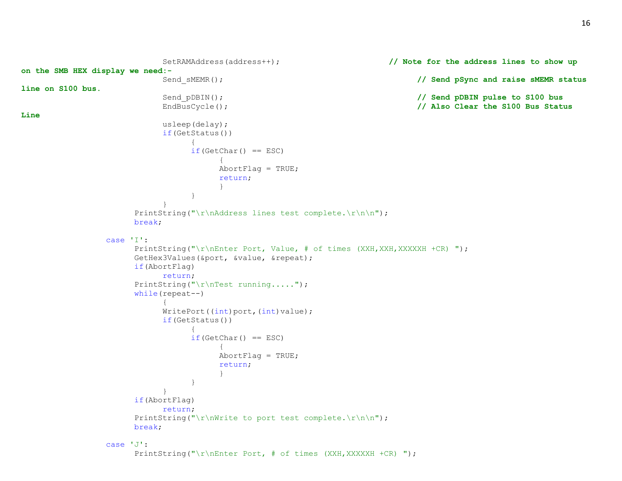```
SetRAMAddress(address++); // Note for the address lines to show up 
on the SMB HEX display we need:-
                          Send sMEMR(); // Send pSync and raise sMEMR status
line on S100 bus.
                          Send pDBIN(); \frac{1}{2} Send pDBIN pulse to S100 bus
                          EndBusCycle(); // Also Clear the S100 Bus Status 
Line
                          usleep(delay);
                          if(GetStatus())
                                {
                                if(GetChar() == ESC){
                                     AbortFlag = TRUE;return;
                                     }
                                }
                          }
                     PrintString("\r\nAddress lines test complete.\r\n\n");
                     break;
                case 'I':
                     PrintString("\r\nEnter Port, Value, # of times (XXH,XXH,XXXXXH +CR) ");
                     GetHex3Values(&port, &value, &repeat);
                     if(AbortFlag)
                          return;
                     PrintString("\r\nTest running.....");
                     while(repeat--)
                           {
                          WritePort((int)port,(int)value);
                          if(GetStatus())
                                {
                                if(GetChar() == ESC){
                                     AbortFlag = TRUE;return;
                                     }
                                }
                           }
                     if(AbortFlag)
                          return;
                     PrintString("\r\nWrite to port test complete.\r\n\n");
                     break;
                case 'J':
                     PrintString("\r\nEnter Port, # of times (XXH,XXXXXH +CR) ");
```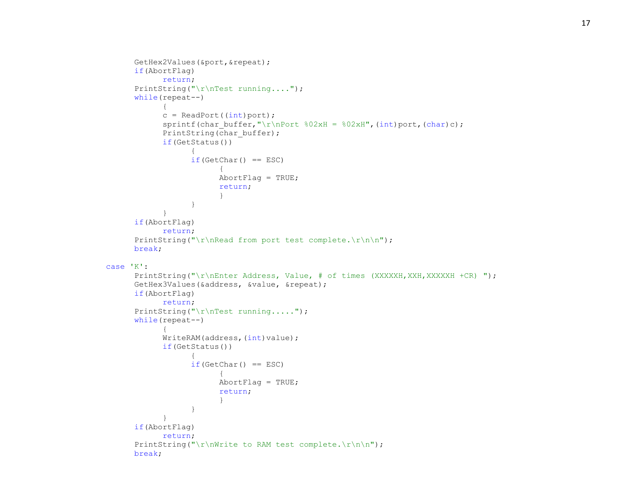```
GetHex2Values(&port,&repeat);
      if(AbortFlag)
            return;
      PrintString("\r\nTest running....");
      while(repeat--)
            {
            c = ReadPort((int)port);sprintf(char buffer,"\r\nPort 802xH = 802xH",(int)port,(char)c);
            PrintString(char buffer);
            if(GetStatus())
                  {
                  if(GetChar() == ESC){
                        AbortFlag = TRUE;
                        return;
                        }
                  }
            }
      if(AbortFlag)
            return;
      PrintString("\r\nRead from port test complete.\r\n\n");
      break;
case 'K':
      PrintString("\r\nEnter Address, Value, # of times (XXXXXH,XXH,XXXXXH +CR) ");
      GetHex3Values(&address, &value, &repeat);
      if(AbortFlag)
            return;
      PrintString("\r\nTest running.....");
      while(repeat--)
            {
            WriteRAM(address, (int)value);
            if(GetStatus())
                  {
                  if(GetChar() == ESC){
                        AbortFlag = TRUE;return;
                        }
                  }
            }
      if(AbortFlag)
            return;
      PrintString("\r\nWrite to RAM test complete.\r\n\n");
      break;
```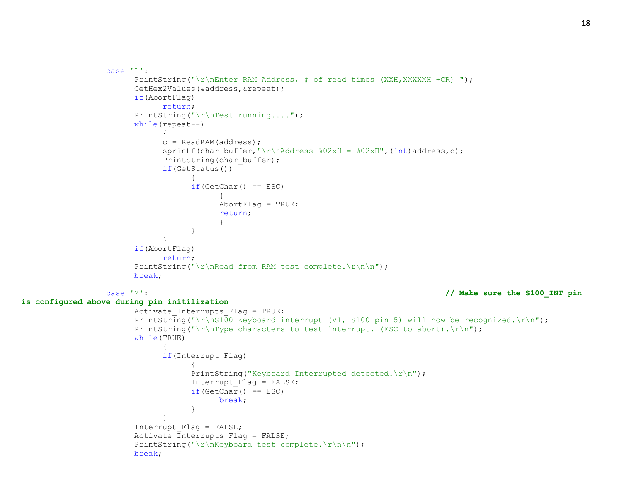```
case 'L':
                       PrintString("\r\nEnter RAM Address, # of read times (XXH,XXXXXH +CR) ");
                      GetHex2Values(&address,&repeat);
                      if(AbortFlag)
                            return;
                       PrintString("\r\cdot r);
                      while(repeat--)
                            {
                            c = ReadRAM(address);
                            sprintf(char buffer,"\r\nAddress 802xH = 802xH",(int)address,c);
                            PrintString(char buffer);
                            if(GetStatus())
                                  {
                                  if(GetChar() == ESC){
                                       AbortFlag = TRUE;return;
                                        }
                                  }
                            }
                      if(AbortFlag)
                            return;
                       PrintString("\r\nRead from RAM test complete.\r\n\n");
                      break;
                 case 'M': // Make sure the S100_INT pin 
is configured above during pin initilization
                      Activate Interrupts Flag = TRUE;
                      PrintString("\r\nS100 Keyboard interrupt (V1, S100 pin 5) will now be recognized.\r\n");
                       PrintString("\r\nType characters to test interrupt. (ESC to abort).\r\n");
                      while(TRUE)
                            {
                            if(Interrupt_Flag)
                                  {
                                  PrintString("Keyboard Interrupted detected.\nr\n");
                                  Interrupt_Flag = FALSE;
                                  if(GetChar() == ESC)break;
                                  }
                            }
                       Interrupt_Flag = FALSE;
                      Activate Interrupts Flag = FALSE;
                      PrintString("\r\nKeyboard test complete.\r\n\n");
                      break;
```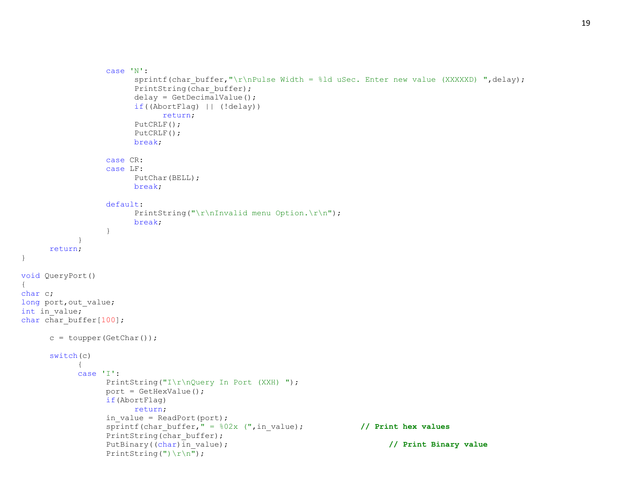```
case 'N':
                        sprintf(char buffer,"\r\nPulse Width = %ld uSec. Enter new value (XXXXXD) ",delay);
                        PrintString(char buffer);
                        delay = GetDecimalValue();
                        if((AbortFlag) || (!delay))
                              return;
                        PutCRLF();
                        PutCRLF();
                        break;
                  case CR:
                  case LF:
                        PutChar(BELL);
                        break;
                  default:
                        PrintString("\r\nInvalid menu Option.\r\n");
                        break;
                  }
            }
     return;
void QueryPort()
char c;
long port, out value;
int in value;
char char buffer[100];
      c = \text{topper}(\text{GetChar}());switch(c)
            \left\{ \right.case 'I':
                  PrintString("I\r\nQuery In Port (XXH) ");
                  port = GetHexValue();
                  if(AbortFlag)
                        return;
                  in value = ReadPort(port);sprintf(char buffer," = 802x (",in value); // Print hex values
                  PrintString(char buffer);
                  PutBinary((char)in value); // Print Binary value
                  PrintString(") \r\n");
```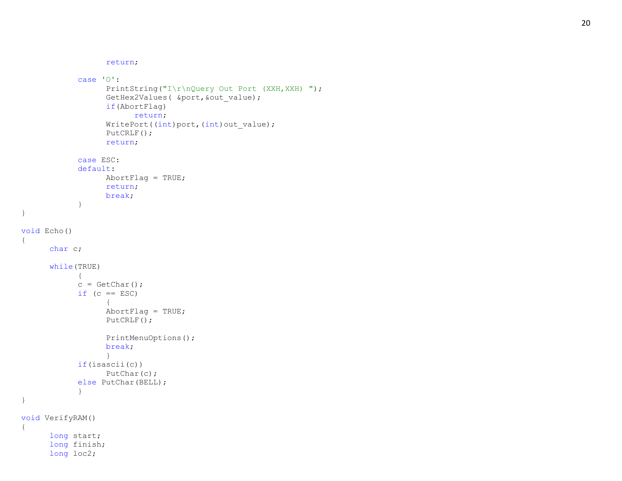```
return
;
             case 'O'
:
                   PrintString("I\r\nQuery Out Port (XXH, XXH) ");
                   GetHex2Values( &port,&out_value);
                   if(AbortFlag)
                          return
;
                   WritePort((int)port,(int)out_value);
                   PutCRLF();
                   return
;
             case ESC:
             default
:
                   AbortFlag = TRUE;return
;
                   break
;
             }
void Echo() char c;
      while(TRUE) {
            c = \text{GetChar}();
            if (c == ESC){
                   AbortFlag = TRUE;PutCRLF();
                   PrintMenuOptions();
                   break
;
                   }
            if(isascii(c))
                   PutChar(c);
            else PutChar(BELL);
             }
void VerifyRAM() long start;
      long finish;
      long loc2;
```
{

}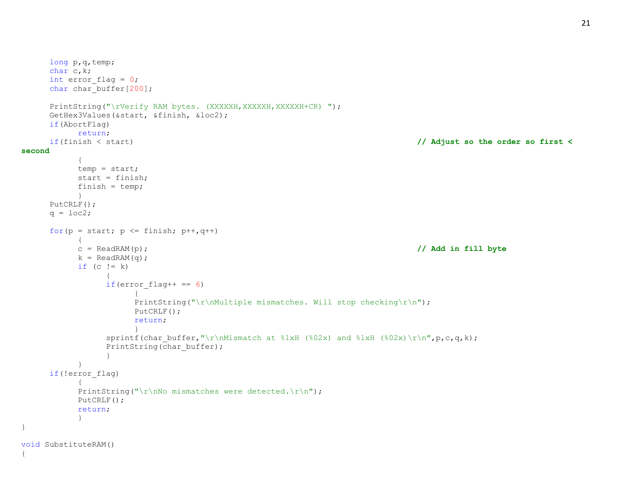```
long p,q,temp;
     char c,k;
     int error flag = 0;
     char char buffer[200];
     PrintString("\rVerify RAM bytes. (XXXXXH,XXXXXH,XXXXXH+CR) ");
     GetHex3Values(&start, &finish, &loc2);
     if(AbortFlag)
          return;
     if(finish < start) // Adjust so the order so first < 
second
           {
          temp = start;
          start = finish;
          finish = temp;
           }
     PutCRLF();
     q = \text{loc2};for(p = start; p \le finish; p++, q++)
           {
          c = ReadRAM(p); // Add in fill byte
          k = ReadRAM(q);if (c := k){
                if(error flag++ == 6)
                      {
                      PrintString("\r\nMultiple mismatches. Will stop checking\r\n");
                      PutCRLF();
                     return;
                      }
                sprintf(char buffer,"\r\nMismatch at \ell\1xH (%02x) and \ell\1xH (%02x)\r\n",p,c,q,k);
                PrintString(char buffer);
                }
          }
     if(!error_flag)
           {
          PrintString("\r\nNo mismatches were detected.\r\n");
          PutCRLF();
          return;
           }
}
void SubstituteRAM()
{
```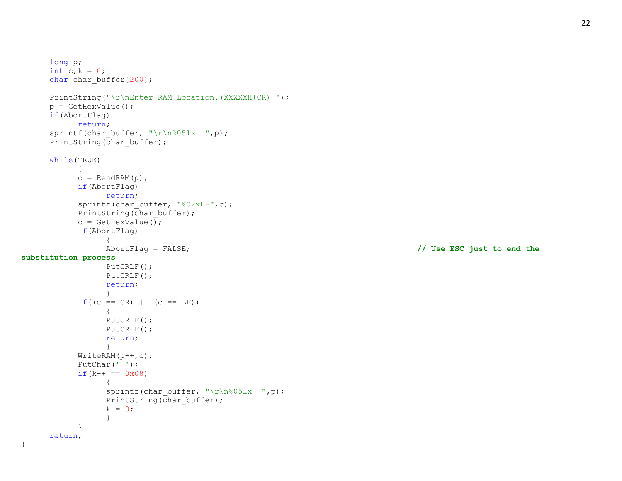22

```
long p;
     int c, k = 0;char char buffer[200];
     PrintString("\r\nEnter RAM Location.(XXXXXH+CR) ");
     p = GetHexValue();
     if(AbortFlag)
           return;
     sprintf(char buffer, "\r\n%05lx ",p);
     PrintString(char buffer);
     while(TRUE)
           {
           c = ReadRAM(p);
           if(AbortFlag)
                 return;
           sprintf(char buffer, "%02xH-",c);
           PrintString(char buffer);
           c = GetHexValue();
           if(AbortFlag)
                 {
                 AbortFlag = FALSE; // Use ESC just to end the 
substitution process
                 PutCRLF();
                 PutCRLF();
                 return;
                 }
           if((c == CR) || (c == LF)){
                 PutCRLF();
                 PutCRLF();
                 return;
                 }
           WriteRAM(p++,c);
           PutChar(' ');
           if (k++ == 0x08){
                 sprintf(char buffer, "\r\n%05lx ",p);
                 PrintString(char buffer);
                 k = 0;}
           }
     return;
```
}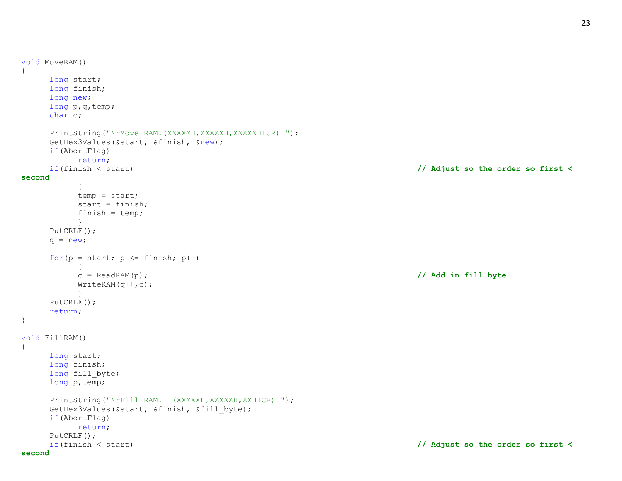```
void MoveRAM()
{
     long start;
     long finish;
     long new;
     long p,q,temp;
     char c;
     PrintString("\rMove RAM.(XXXXXH,XXXXXH,XXXXXH+CR) ");
     GetHex3Values(&start, &finish, &new);
     if(AbortFlag)
          return;
    if(finish < start) // Adjust so the order so first < 
second
          {
          temp = start;
          start = finish;
          finish = temp;
          }
    PutCRLF();
    q = new;for(p = start; p \leq finish; p++)
          {
          c = ReadRAM(p); // Add in fill byte
          WriteRAM(q++, c);}
     PutCRLF();
     return;
}
void FillRAM()
\left\{ \right.long start;
     long finish;
     long fill byte;
     long p, temp;
     PrintString("\rFill RAM. (XXXXXH, XXXXXH, XXH+CR) ");
     GetHex3Values(&start, &finish, &fill byte);
     if(AbortFlag)
          return;
     PutCRLF();
     if(finish < start) // Adjust so the order so first <
```
## **second**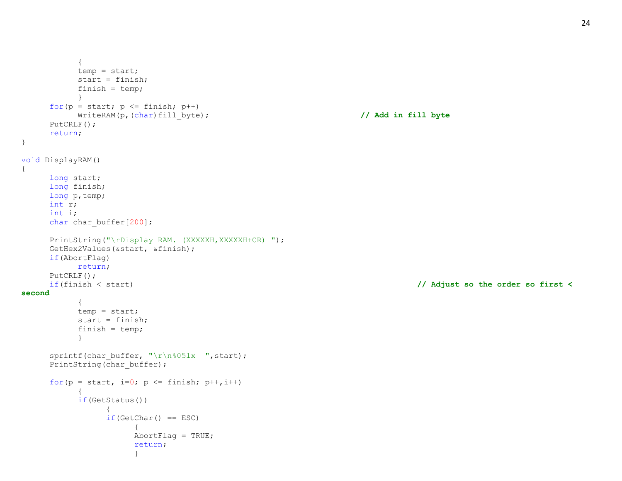```
{
           temp = start;
           start = finish;finish = temp;
           }
     for(p = start; p \leq finish; p++)
          WriteRAM(p,(char)fill_byte); // Add in fill byte
     PutCRLF();
     return;
}
void DisplayRAM()
{
     long start;
     long finish;
     long p,temp;
     int r;
     int i;
     char char buffer[200];
     PrintString("\rDisplay RAM. (XXXXXH, XXXXXH+CR) ");
     GetHex2Values(&start, &finish);
     if(AbortFlag)
          return;
     PutCRLF();
     if(finish < start) // Adjust so the order so first < 
second
           {
          temp = start;
           start = finish;
           finish = temp;
           }
     sprintf(char buffer, "\r\n%05lx ", start);
     PrintString(char buffer);
     for(p = start, i=0; p <= finish; p++,i++)
           {
          if(GetStatus())
                {
                if(GetChar() == ESC){
                     AbortFlag = TRUE;return;
                      }
```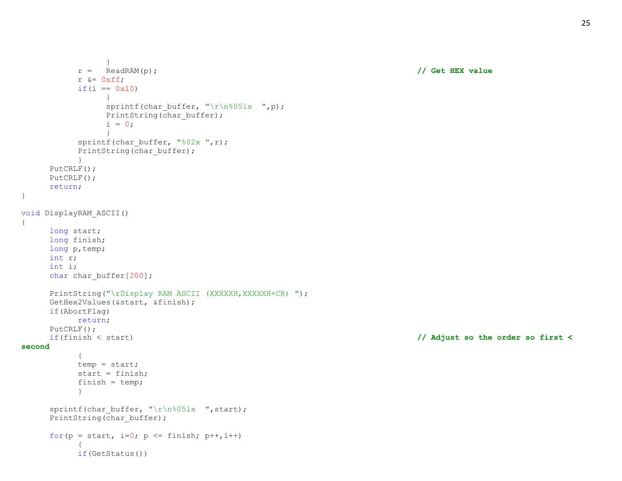```
}
          r = ReadRAM(p); // Get HEX value
          r &= 0xff;if(i == 0x10)
                {
               sprintf(char buffer, "\r\n%05lx ",p);
               PrintString(char buffer);
               i = 0;}
          sprintf(char buffer, "%02x ",r);
          PrintString(char buffer);
          }
     PutCRLF();
     PutCRLF();
     return;
}
void DisplayRAM_ASCII()
{
     long start;
     long finish;
     long p, temp;
     int r;
     int i;
     char char buffer[200];
     PrintString("\rDisplay RAM ASCII (XXXXXH, XXXXXH+CR) ");
     GetHex2Values(&start, &finish);
     if(AbortFlag)
          return;
     PutCRLF();
     if(finish < start) // Adjust so the order so first < 
second
          {
          temp = start;
          start = finish;
          finish = temp;
          }
     sprintf(char buffer, "\r\n%05lx ", start);
     PrintString(char_buffer);
     for(p = start, i=0; p <= finish; p++,i++)
          {
          if(GetStatus())
```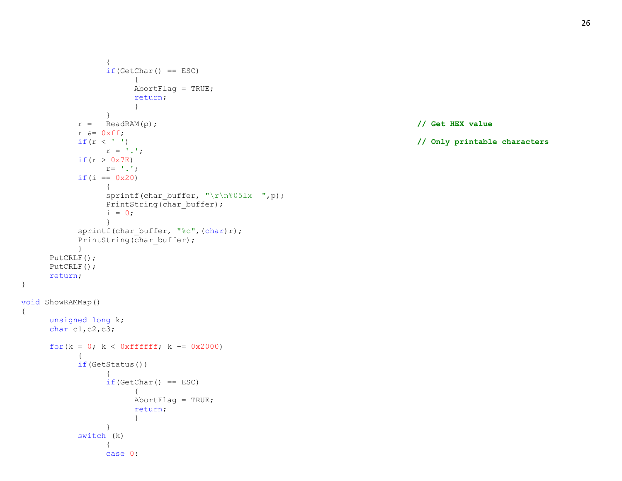```
{
               if(GetChar() == ESC){
                     AbortFlag = TRUE;
                     return;
                     }
                }
          r = ReadRAM(p); // Get HEX value
          r &= 0xff;if(r < ' ') // Only printable characters
               r = '.';
          if (r > 0x7E)r = \langle \cdot, \cdot \rangle;
          if(i == 0x20)
                {
               sprintf(char buffer, "\r\n%05lx ",p);
               PrintString(char buffer);
               i = 0;}
          sprintf(char buffer, "%c",(char)r);
          PrintString(char buffer);
          }
     PutCRLF();
     PutCRLF();
     return;
void ShowRAMMap()
     unsigned long k;
     char c1,c2,c3;
     for(k = 0; k < 0xffffff; k == 0x2000)
          {
          if(GetStatus())
                {
               if(GetChar() == ESC){
                     AbortFlag = TRUE;
                     return;
                     }
               }
          switch (k)
                {
               case 0:
```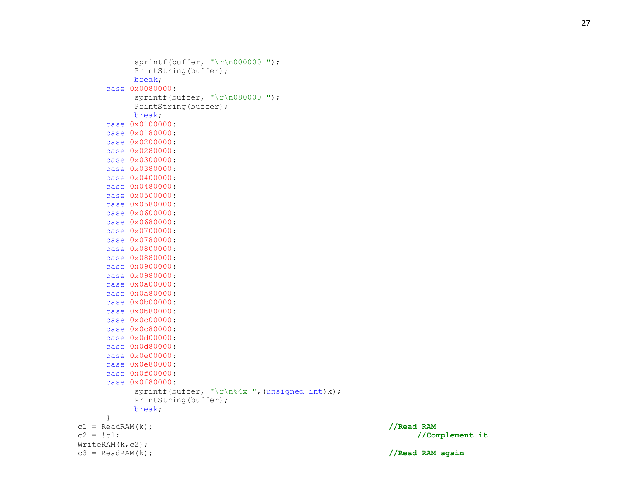```
sprintf(buffer, "\r\r\n0000000 ");
           PrintString(buffer);
           break;
     case 0x0080000:
           sprintf(buffer, "\r\n080000 ");
           PrintString(buffer);
           break;
     case 0x0100000:
     case 0x0180000:
     case 0x0200000:
     case 0x0280000:
     case 0x0300000:
     case 0x0380000:
     case 0x0400000:
     case 0x0480000:
     case 0 \times 0500000:
     case 0x0580000:
     case 0x0600000:
     case 0x0680000:
     case 0x0700000:
     case 0x0780000:
     case 0x0800000:
     case 0x0880000:
     case 0x0900000:
     case 0x0980000:
     case 0x0a00000:
     case 0x0a80000:
     case 0x0b00000:
     case 0x0b80000:
     case 0x0c00000:
     case 0x0c80000:
     case 0 \times 0d00000:
     case 0x0d80000:
     case 0 \times 0 = 000000:
     case 0x0e80000:
     case 0x0f00000:
     case 0x0f80000:
           sprintf(buffer, "\r\n%4x ",(unsigned int)k);
           PrintString(buffer);
           break;
     }
c1 = \text{ReadRAM}(k);c2 = !c1; //Complement it
WriteRAM(k,c2);
```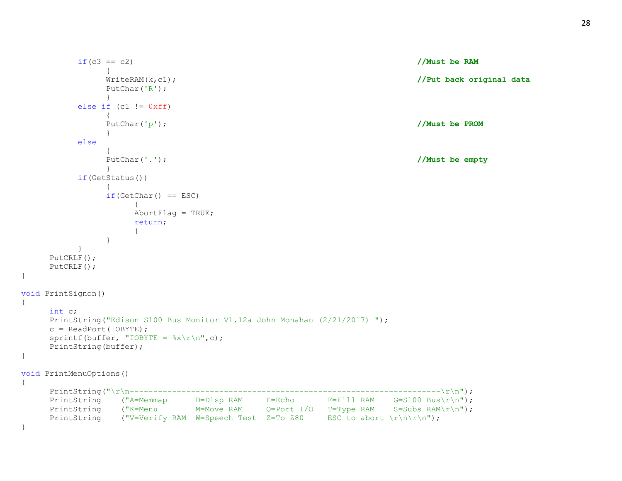```
if(c3 == c2) //Must be RAM
              \left\{ \right.WriteRAM(k,c1); //Put back original data
              PutChar('R');
              }
         else if (cl := 0xff){
              PutChar('p'); //Must be PROM
              }
         else
              {
              PutChar('.'); //Must be empty
              }
         if(GetStatus())
              {
              if(GetChar() == ESC){
                  AbortFlag = TRUE;return;
                   }
              }
         }
    PutCRLF();
    PutCRLF();
}
void PrintSignon()
{
    int c;
    PrintString("Edison S100 Bus Monitor V1.12a John Monahan (2/21/2017) ");
    c = ReadPort(IOBYTE);sprintf(buffer, "IOBYTE = \frac{8x}{r\cdot r}, c);
    PrintString(buffer);
}
void PrintMenuOptions()
{
    PrintString("\r\n------------------------------------------------------------------\r\n");
    PrintString ("A=Memmap D=Disp RAM E=Echo F=Fill RAM G=S100 Bus\r\n");
    PrintString ("K=Menu M=Move RAM Q=Port I/O T=Type RAM S=Subs RAM\r\n");
    PrintString ("V=Verify RAM W=Speech Test Z=To Z80 ESC to abort \r\ln\ln\;
}
```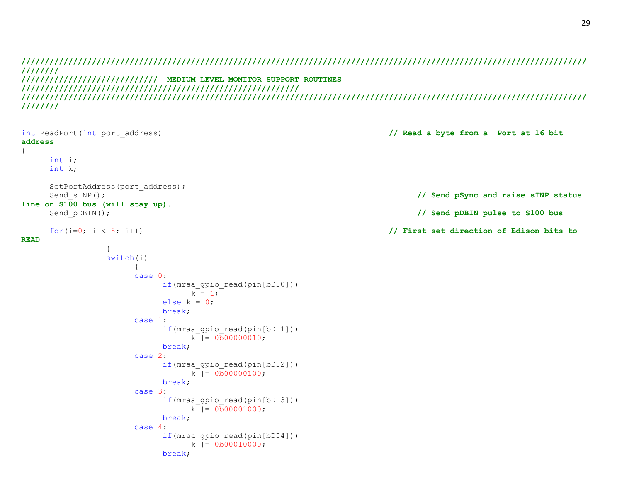**//////////////////////////////////////////////////////////////////////////////////////////////////////////////////////// //////// ///////////////////////////// MEDIUM LEVEL MONITOR SUPPORT ROUTINES /////////////////////////////////////////////////////////// //////////////////////////////////////////////////////////////////////////////////////////////////////////////////////// ////////**

```
int ReadPort(int port_address) // Read a byte from a Port at 16 bit 
address
{
    int i;
    int k;
    SetPortAddress(port address);
    Send sINP(); // Send pSync and raise sINP status
line on S100 bus (will stay up).
    Send_pDBIN(); // Send pDBIN pulse to S100 bus
    for(i=0; i < 8; i++) // First set direction of Edison bits to 
READ
             {
             switch(i)
                  {
                  case 0:
                      if(mraa_gpio_read(pin[bDI0]))
                          k = 1:
                      else k = 0;
                      break;
                  case 1:
                      if(mraa_gpio_read(pin[bDI1]))
                          k = 0.000000010;
                      break;
                  case 2:
                      if(mraa_gpio_read(pin[bDI2]))
                          k = 0.000000100;
                      break;
                  case 3:
                      if(mraa_gpio_read(pin[bDI3]))
                           k = 0.000001000;
                      break;
                  case 4:
                      if(mraa_gpio_read(pin[bDI4]))
                          k |= 0b00010000;
                      break;
```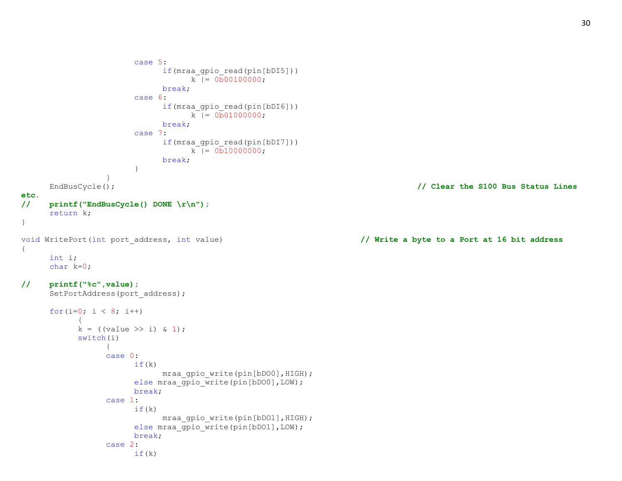```
case 5:
                           if(mraa_gpio_read(pin[bDI5]))
                                k = 0.000100000;
                           break;
                      case 6:
                           if(mraa_gpio_read(pin[bDI6]))
                                k |= 0b01000000;
                           break;
                     case 7:
                           if(mraa_gpio_read(pin[bDI7]))
                                k |= 0b10000000;
                           break;
                      }
                }
     EndBusCycle(); // Clear the S100 Bus Status Lines
etc.
// printf("EndBusCycle() DONE \r\n");
     return k;
}
void WritePort(int port_address, int value) // Write a byte to a Port at 16 bit address
{
     int i;
     char k=0;
// printf("%c",value);
     SetPortAddress(port address);
     for(i=0; i < 8; i++)
           {
           k = ((value >> i) & 1);
           switch(i)
                {
                case 0:
                     if(k)mraa gpio write(pin[bDO0], HIGH);
                     else mraa gpio write(pin[bDO0], LOW);
                     break;
                case 1:
                     if(k)mraa_gpio_write(pin[bDO1],HIGH);
                     else mraa_gpio_write(pin[bDO1], LOW);
                     break;
                case 2:
                     if(k)
```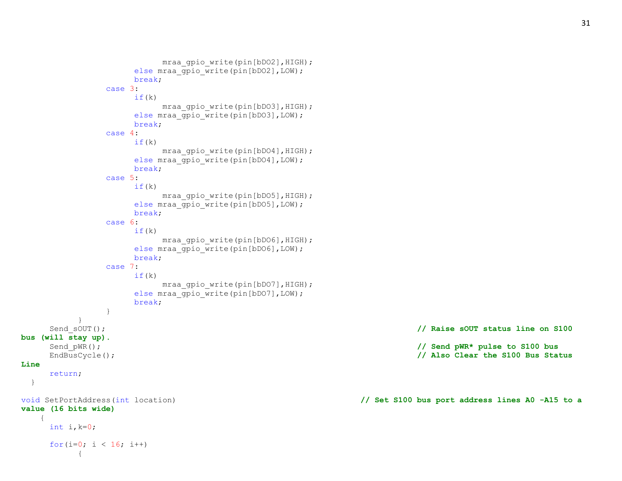```
mraa qpio write(pin[bDO2], HIGH);
                   else mraa qpiio write(pin[bDO2], LOW);
                   break;
              case 3:
                   if(k)
                        mraa gpio write(pin[bDO3], HIGH);
                   else mraa gpio write(pin[bDO3], LOW);
                   break;
              case 4:
                   if(k)mraa qpio write(pin[bDO4], HIGH);
                   else mraa gpio write(pin[bDO4], LOW);
                   break;
              case 5:
                   if(k)mraa gpio write(pin[bDO5], HIGH);
                   else mraa gpio write(pin[bDO5], LOW);
                   break;
              case 6:
                   if(k)mraa gpio write(pin[bDO6], HIGH);
                   else mraa gpio write(pin[bDO6], LOW);
                   break;
              case 7:
                   if(k)mraa gpio write(pin[bDO7], HIGH);
                   else mraa gpio write(pin[bDO7], LOW);
                   break;
               }
         }
    Send sOUT(); // Raise sOUT status line on S100
bus (will stay up).
     Send pWR(); // Send pWR* pulse to S100 bus
     EndBusCycle(); // Also Clear the S100 Bus Status 
Line
    return;
  }
void SetPortAddress(int location) // Set S100 bus port address lines A0 -A15 to a 
value (16 bits wide)
    {
    int i, k=0;
     for(i=0; i < 16; i++){
```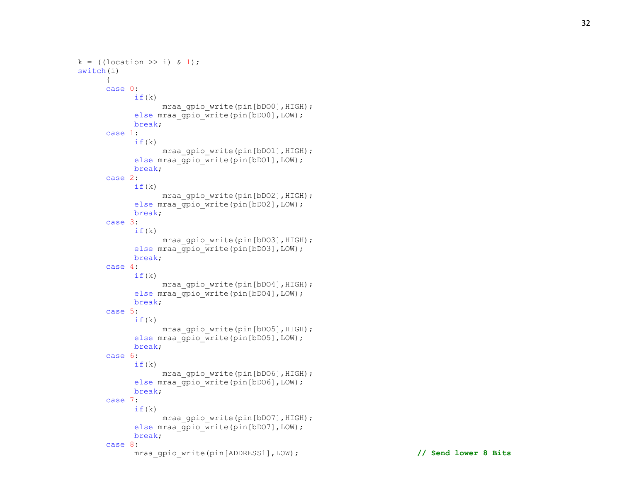```
k = ((location \gg i) \& 1);switch(i)
      {
      case 0:
            if(k)
                  mraa gpio write(pin[bDO0], HIGH);
            else mraa gpio write(pin[bDO0], LOW);
            break;
      case 1:
            if(k)mraa qpio write(pin[bDO1], HIGH);
            else mraa gpio write(pin[bDO1], LOW);
            break;
      case 2:
            if(k)mraa gpio write(pin[bDO2], HIGH);
            else mraa gpio write(pin[bDO2], LOW);
            break;
      case 3:
            if(k)mraa gpio write(pin[bDO3], HIGH);
            else mraa gpio write(pin[bDO3], LOW);
            break;
      case 4:
            if(k)mraa gpio write(pin[bDO4], HIGH);
            else mraa gpio write(pin[bDO4], LOW);
            break;
      case 5:
            if(k)mraa gpio write(pin[bDO5], HIGH);
            else mraa gpio write(pin[bDO5], LOW);
            break;
      case 6:
            if(k)mraa gpio write(pin[bDO6], HIGH);
            else mraa gpio write(pin[bDO6], LOW);
            break;
      case 7:
            if(k)
                  mraa gpio write(pin[bDO7], HIGH);
            else mraa_gpio_write(pin[bDO7], LOW) ;
            break;
      case 8:
```
mraa\_gpio\_write(pin[ADDRESS1],LOW); **// Send lower 8 Bits**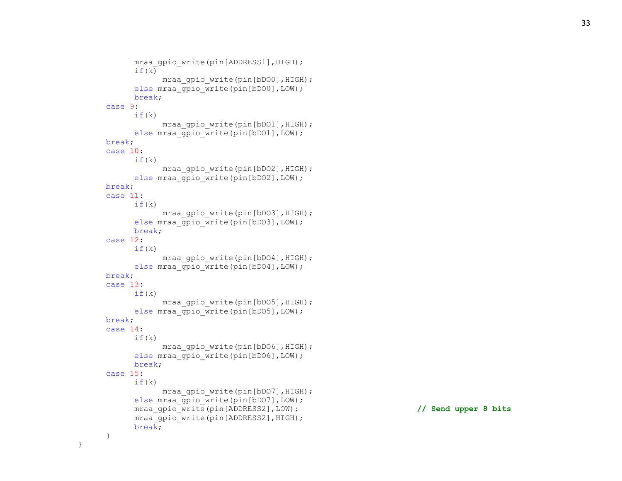```
mraa qpio write(pin[ADDRESS1], HIGH);
     if(k)mraa qpio write(pin[bDO0], HIGH);
     else mraa gpio write(pin[bDO0], LOW);
      break
;
case
9
:
     if(k)mraa gpio write(pin[bDO1], HIGH);
     else mraa gpio write(pin[bDO1], LOW);
break
;
case 10
:
     if(k)
            mraa gpio write(pin[bDO2], HIGH);
     else mraa gpio write(pin[bDO2], LOW);
break
;
case 11
:
     if(k)mraa gpio write(pin[bDO3], HIGH);
     else mraa gpio write(pin[bDO3], LOW);
      break
;
case 12
:
     if(k)
            mraa gpio write(pin[bDO4], HIGH);
     else mraa_gpio_write(pin[bDO4], LOW);
break
;
case 13
:
     if(k)mraa gpio write(pin[bDO5], HIGH);
     else mraa gpio write(pin[bDO5], LOW);
break
;
case 14
:
     if(k)
            mraa_gpio_write(pin[bDO6],HIGH);
     else mraa gpio write(pin[bDO6], LOW);
      break
;
case 15
:
     if(k)mraa gpio write(pin[bDO7], HIGH);
     else mraa qpio write(pin[bDO7], LOW);
     mraa gpio write(pin[ADDRESS2],LOW); // Send upper 8 bits
     mraa gpio write(pin[ADDRESS2], HIGH);
      break
;
}
```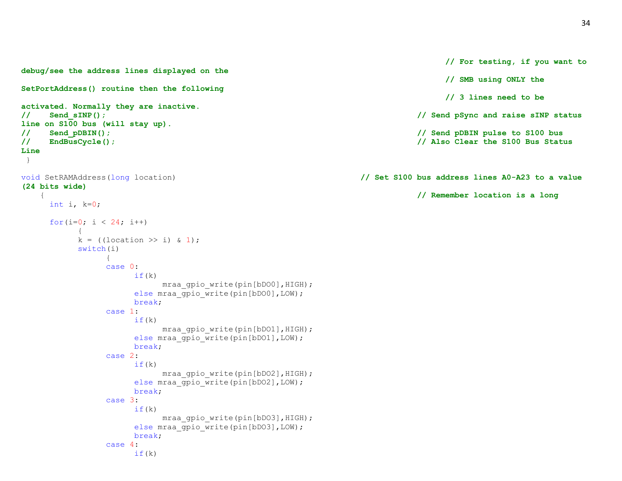```
debug/see the address lines displayed on the
SetPortAddress() routine then the following
activated. Normally they are inactive.
// Send_sINP(); // Send pSync and raise sINP status 
line on S100 bus (will stay up).
// Send_pDBIN(); // Send pDBIN pulse to S100 bus
// EndBusCycle(); // Also Clear the S100 Bus Status 
Line
}
void SetRAMAddress(long location) // Set S100 bus address lines A0-A23 to a value 
(24 bits wide)
    { // Remember location is a long
    int i, k=0;for(i=0; i < 24; i++)
         {
         k = ((location \gg i) \& 1);switch(i)
             {
             case 0:
                  if(k)mraa gpio write(pin[bDO0], HIGH);
                  else mraa gpio write(pin[bDO0], LOW);
                  break;
             case 1:
                  if(k)mraa gpio write(pin[bDO1], HIGH);
                  else mraa gpio write(pin[bDO1], LOW);
                  break;
             case 2:
                  if(k)mraa gpio write(pin[bDO2], HIGH);
                  else mraa gpio write(pin[bDO2], LOW);
                  break;
             case 3:
                  if(k)mraa gpio write(pin[bDO3], HIGH);
                  else mraa gpio write(pin[bDO3], LOW);
                  break;
             case 4:
                  if(k)
```

```
// For testing, if you want to
```
**// SMB using ONLY the** 

**// 3 lines need to be**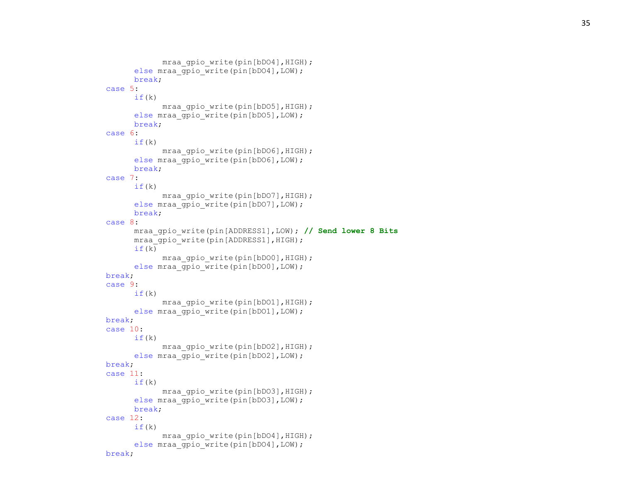```
mraa qpio write(pin[bDO4], HIGH);
      else mraa gpio write(pin[bDO4], LOW);
      break
;
case
5
:
     if(k)
            mraa gpio write(pin[bDO5], HIGH);
      else mraa gpio write(pin[bDO5], LOW);
      break
;
case
6
:
      if(k)mraa qpio write(pin[bDO6], HIGH);
      else mraa gpio write(pin[bDO6], LOW);
      break
;
case
7
:
      if(k)mraa gpio write(pin[bDO7], HIGH);
      else mraa gpio write(pin[bDO7], LOW);
      break
;
case
8
:
     mraa_gpio_write(pin[ADDRESS1],LOW); // Send lower 8 Bits
     mraa qpio write(pin[ADDRESS1], HIGH);
      if(k)mraa gpio write(pin[bDO0], HIGH);
      else mraa_gpio_write(pin[bDO0],LOW);
break
;
case
9
:
     if(k)mraa gpio write(pin[bDO1], HIGH);
      else mraa gpio write(pin[bDO1], LOW);
break
;
case 10
:
     if(k)
            mraa_gpio_write(pin[bDO2],HIGH);
      else mraa gpio write(pin[bDO2], LOW);
break
;
case 11
:
      if(k)mraa gpio write(pin[bDO3], HIGH);
     else mraa gpio write(pin[bDO3], LOW);
      break
;
case 12
:
      if(k)mraa gpio write(pin[bDO4], HIGH);
      else mraa gpio write(pin[bDO4], LOW);
break
;
```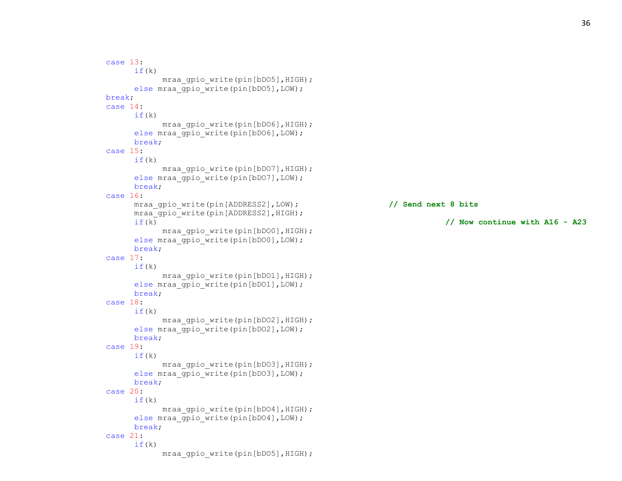case 13:  $if(k)$ mraa gpio write(pin[bDO5], HIGH); else mraa gpio write(pin[bDO5], LOW); break; case 14: if(k) mraa gpio write(pin[bDO6], HIGH); else mraa gpio write(pin[bDO6], LOW); break; case 15:  $if(k)$ mraa gpio write(pin[bDO7], HIGH); else mraa gpio write(pin[bDO7], LOW); break; case 16: mraa\_gpio\_write(pin[ADDRESS2],LOW); **// Send next 8 bits** mraa gpio write(pin[ADDRESS2], HIGH); if(k) **// Now continue with A16 - A23** mraa qpio write(pin[bDO0], HIGH); else mraa gpio write(pin[bDO0], LOW); break; case 17:  $if(k)$ mraa gpio write(pin[bDO1], HIGH); else mraa gpio write(pin[bDO1], LOW); break; case 18:  $if(k)$ mraa gpio write(pin[bDO2], HIGH); else mraa gpio write(pin[bDO2], LOW); break; case 19:  $if(k)$ mraa gpio write(pin[bDO3], HIGH); else mraa gpio write(pin[bDO3], LOW); break; case 20:  $if(k)$ mraa gpio write(pin[bDO4], HIGH); else mraa gpio write(pin[bDO4], LOW); break; case 21:  $if(k)$ mraa gpio write(pin[bDO5], HIGH);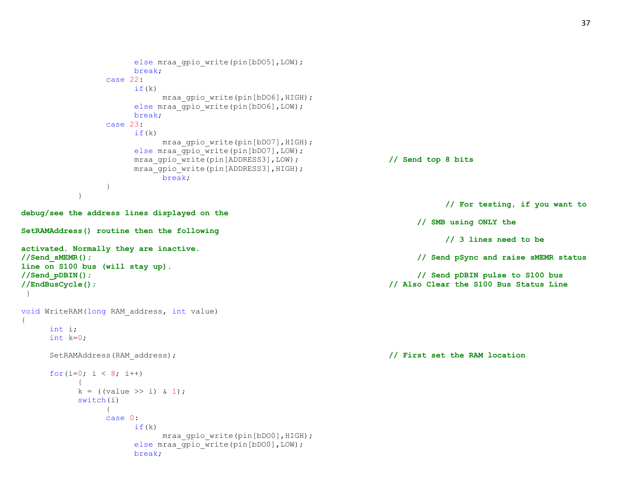```
else mraa qpio write(pin[bDO5], LOW);
                   break;
              case 22:
                   if(k)mraa gpio write(pin[bDO6], HIGH);
                   else mraa gpio write(pin[bDO6], LOW);
                   break;
              case 23:
                   if(k)mraa gpio write(pin[bDO7], HIGH);
                   else mraa qpio write(pin[bDO7], LOW);
                   mraa_gpio_write(pin[ADDRESS3],LOW); // Send top 8 bits
                   mraa gpio write(pin[ADDRESS3], HIGH);
                        break;
              }
          }
                                                                         // For testing, if you want to 
debug/see the address lines displayed on the
                                                                     // SMB using ONLY the 
SetRAMAddress() routine then the following
                                                                         // 3 lines need to be 
activated. Normally they are inactive.
//Send_sMEMR(); // Send pSync and raise sMEMR status 
line on S100 bus (will stay up).
//Send_pDBIN(); // Send pDBIN pulse to S100 bus
//EndBusCycle(); // Also Clear the S100 Bus Status Line
}
void WriteRAM(long RAM_address, int value)
{
    int i;
    int k=0;
    SetRAMAddress(RAM_address); // First set the RAM location
    for(i=0; i < 8; i++)
         {
         k = ((value >> i) & 1);
         switch(i)
              {
              case 0:
                   if(k)
                        mraa gpio write(pin[bDO0], HIGH);
                   else mraa gpio write(pin[bDO0], LOW);
                   break;
```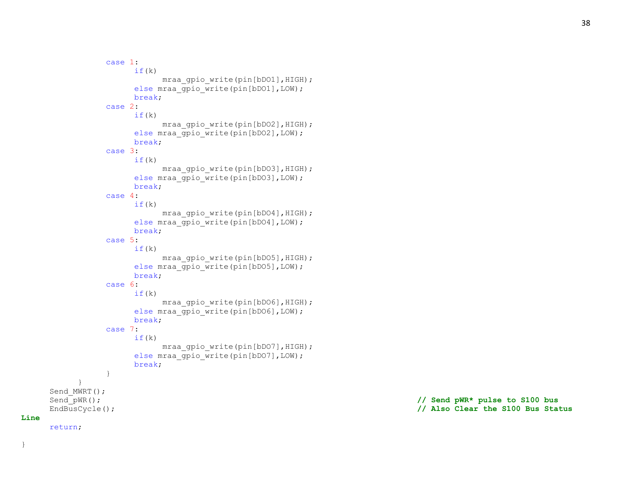```
case 1:
                 if(k)mraa gpio write(pin[bDO1], HIGH);
                 else mraa gpio write(pin[bDO1], LOW);
                 break;
           case 2:
                 if(k)mraa gpio write(pin[bDO2], HIGH);
                 else mraa gpio write(pin[bDO2], LOW);
                 break;
           case 3:
                 if(k)mraa gpio write(pin[bDO3], HIGH);
                 else mraa gpio write(pin[bDO3], LOW);
                 break;
           case 4:
                 if(k)mraa gpio write(pin[bDO4], HIGH);
                 else mraa gpio write(pin[bDO4], LOW);
                 break;
           case 5:
                 if(k)
                      mraa gpio write(pin[bDO5], HIGH);
                 else mraa_gpio_write(pin[bDO5],LOW);
                 break;
           case 6:
                 if(k)mraa gpio write(pin[bDO6], HIGH);
                 else mraa gpio write(pin[bDO6], LOW);
                 break;
           case 7:
                 if(k)mraa gpio write(pin[bDO7], HIGH);
                 else mraa gpio write(pin[bDO7], LOW);
                 break;
           }
Send MWRT();
Send pWR(); // Send pWR* pulse to S100 bus
```
**Line**

return;

}

}

EndBusCycle(); **// Also Clear the S100 Bus Status**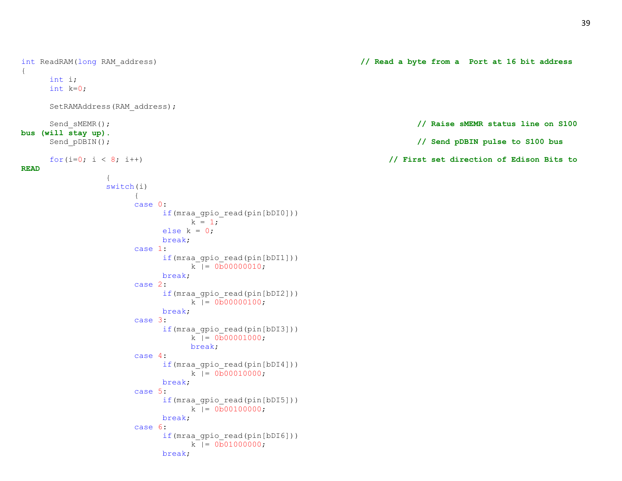```
int i;
    int k=0;
    SetRAMAddress(RAM_address);
    Send sMEMR(); // Raise sMEMR status line on S100
bus (will stay up).
    Send_pDBIN(); // Send pDBIN pulse to S100 bus
    for(i=0; i < 8; i++) // First set direction of Edison Bits to 
              {
              switch(i)
                   {
                   case 0:
                        if(mraa_gpio_read(pin[bDI0]))
                             k = 1;else k = 0;
                        break;
                   case 1:
                        if(mraa_gpio_read(pin[bDI1]))
                             k |= 0b00000010;
                        break;
                   case 2:
                        if(mraa_gpio_read(pin[bDI2]))
                             k |= 0b000000100;
                        break;
                   case 3:
                        if(mraa_gpio_read(pin[bDI3]))
                             k |= 0b00001000;
                             break;
                   case 4:
                        if(mraa_gpio_read(pin[bDI4]))
                             k |= 0b00010000;
                        break;
                   case 5:
                        if(mraa_gpio_read(pin[bDI5]))
                             k = 0.000100000;
                        break;
                   case 6:
                        if(mraa_gpio_read(pin[bDI6]))
                             k |= 0b01000000;
                        break;
```
{

**READ**

int ReadRAM(long RAM\_address) **// Read a byte from a Port at 16 bit address**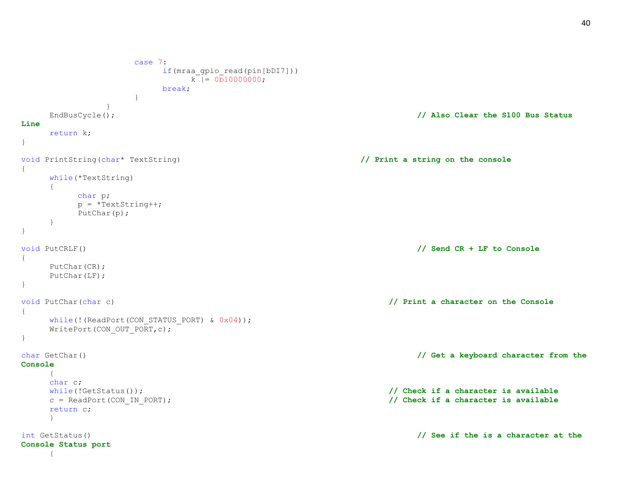```
case 7:
                  if(mraa_gpio_read(pin[bDI7]))
                      k = 0.00000000;
                  break;
               }
           }
   EndBusCycle(); // Also Clear the S100 Bus Status 
Line
   return k;
}
void PrintString(char* TextString) // Print a string on the console
{
   while(*TextString)
   {
       char p;
       p = *TextString++;PutChar(p);
   }
}
void PutCRLF() // Send CR + LF to Console
{
   PutChar(CR);
   PutChar(LF);
}
void PutChar(char c) // Print a character on the Console
{
   while(!(ReadPort(CON STATUS PORT) & 0x04));
   WritePort(CON_OUT_PORT,c);
}
char GetChar() // Get a keyboard character from the 
Console
   {
   char c;
   while(!GetStatus()); // Check if a character is available
   c = ReadPort(CON_IN_PORT); // Check if a character is available
   return c;
   }
int GetStatus() // See if the is a character at the 
Console Status port
   {
```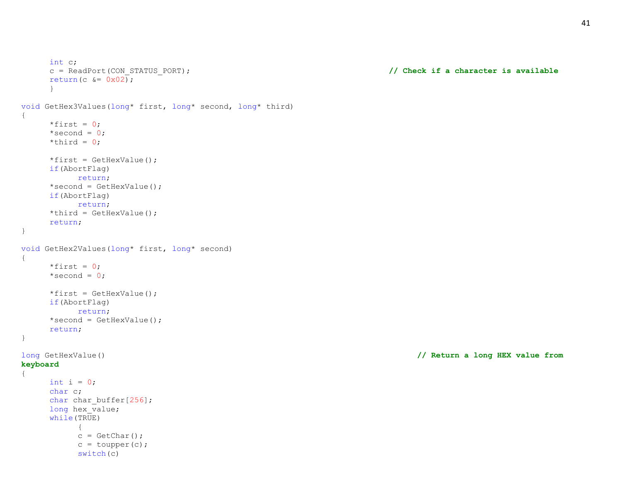```
int c;
     c = ReadPort(CON_STATUS_PORT); // Check if a character is available
     return(c \&= 0 \times 02);
     }
void GetHex3Values(long* first, long* second, long* third)
{
     *first = 0;
     *second = 0;
     *third = 0;*first = GetHexValue();
     if(AbortFlag)
          return;
     *second = GetHexValue();
     if(AbortFlag)
          return;
     *third = GetHexValue();
     return;
}
void GetHex2Values(long* first, long* second)
{
     *first = 0;*second = 0;*first = GetHexValue();
     if(AbortFlag)
          return;
     *second = GetHexValue();
     return;
}
long GetHexValue() // Return a long HEX value from 
keyboard
{
     int i = 0;
     char c;
     char char buffer[256];
     long hex value;
     while(TRUE)
          \{c = \text{GetChar}();
          c = \text{topper}(c);
           switch(c)
```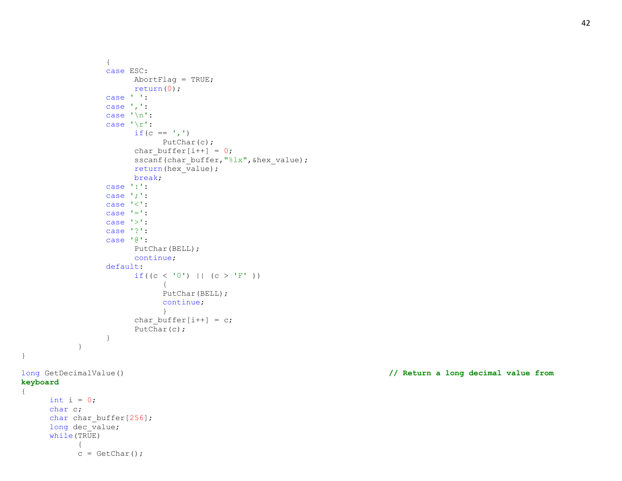```
{
                 case ESC:
                       AbortFlag = TRUE;
                       return(0);
                 case ' ':
                 case ',':
                 case '\n':
                 case '\r':
                       if (c == ', ')PutChar(c);
                       char buffer[i++] = 0;sscanf(char buffer, "%lx", &hex value);
                       return(hex\overline{v}alue);
                       break;
                 case ':':
                 case ';':
                 case '<':
                 case '=':
                 case '>':
                 case '?':
                 case '@':
                       PutChar(BELL);
                       continue;
                 default:
                       if((c < '0') || (c > 'F' ))
                             {
                             PutChar(BELL);
                             continue;
                             }
                       char buffer[i++] = c;PutChar(c);
                 }
           }
long GetDecimalValue() // Return a long decimal value from 
keyboard
     int i = 0;
     char c;
     char char_buffer[256];
     long dec_value;
     while(TRUE)
            {
           c = \text{GetChar}();
```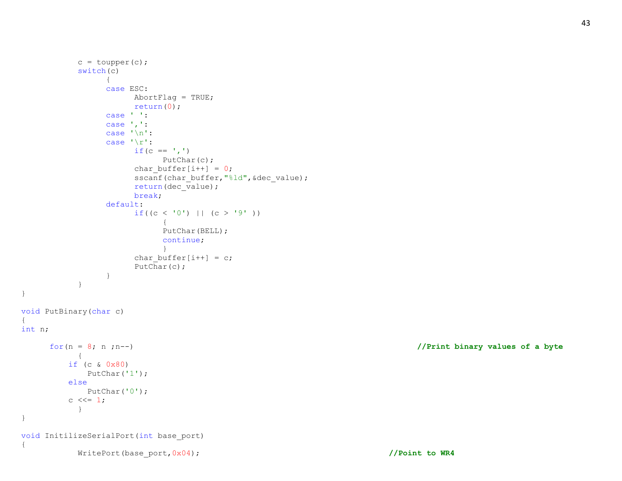```
c = \text{topper}(c);
           switch(c)
                 {
                 case ESC:
                      AbortFlag = TRUE;
                      return(0);
                 case ' ':
                 case ',':
                 case '\n':
                 case '\r':
                      if (c == ', ')PutChar(c);
                      char buffer[i++] = 0;sscanf(char_buffer,"%ld", &dec_value);
                      return(dec_value);
                      break;
                 default:
                      if((c < '0') || (c > '9' ))
                            {
                            PutChar(BELL);
                            continue;
                            }
                      char buffer[i++] = c;PutChar(c);
                 }
           }
void PutBinary(char c)
int n;
     for(n = 8; n ;n--) //Print binary values of a byte
          \left\{ \begin{array}{c} \end{array} \right\} if (c & 0x80)
              PutChar('1');
          else
              PutChar('0');
         c \leq 1;
           }
void InitilizeSerialPort(int base_port)
           WritePort(base_port,0x04); //Point to WR4
```
{

}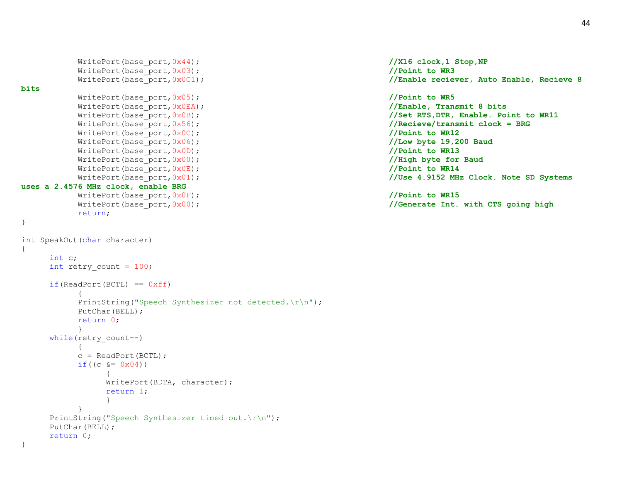```
WritePort(base port,0x44); //X16 clock,1 Stop,NP
        WritePort(base port,0x03); //Point to WR3
        WritePort(base port,0x0C1); //Enable reciever, Auto Enable, Recieve 8 //Enable reciever, Auto Enable, Recieve 8
bits
        WritePort(base port, 0x05); //Point to WR5
        WritePort(base port,0x0EA); //Enable, Transmit 8 bits
        WritePort(base port, 0x0B); //Set RTS, DTR, Enable. Point to WR11
        WritePort(base port,0x56); //Recieve/transmit clock = BRG
        WritePort(base port,0x0C); //Point to WR12
        WritePort(base port, 0x06); //Low byte 19,200 Baud
        WritePort(base port,0x0D); /Point to WR13
        WritePort(base port,0x00); //High byte for Baud
        WritePort(base port, 0x0E); //Point to WR14
        WritePort(base port,0x01); //Use 4.9152 MHz Clock. Note SD Systems
uses a 2.4576 MHz clock, enable BRG
        WritePort(base port,0x0F); //Point to WR15
        WritePort(base port,0x00); //Generate Int. with CTS going high
        return;
}
int SpeakOut(char character)
{
    int c;
    int retry count = 100;
    if(ReadPort(BCTL) == 0xff){
        PrintString("Speech Synthesizer not detected.\r\n");
        PutChar(BELL);
        return 0;
        }
    while(retry count--)
        {
        c = ReadPort (BCTL);
        if((c \&= 0x04))
            {
            WritePort(BDTA, character);
            return 1;
            }
        }
    PrintString("Speech Synthesizer timed out.\r\n");
    PutChar(BELL);
    return 0;
}
```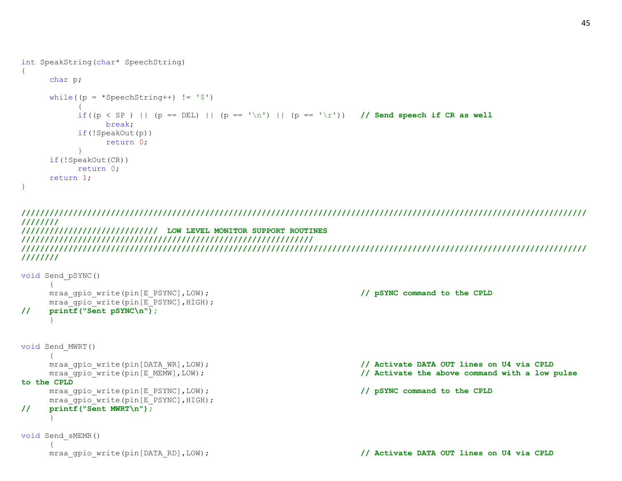```
int SpeakString(char* SpeechString)
{
      char p;
      while((p = *SpeechString++) != '$'){
            if((p < SP) || (p == DEL) || (p == '\n') || (p == '\r')) // Send speech if CR as well
                 break;
           if(!SpeakOut(p))
                  return 0;
            }
     if(!SpeakOut(CR))
           return 0;
     return 1;
}
```
**//////////////////////////////////////////////////////////////////////////////////////////////////////////////////////// //////// ///////////////////////////// LOW LEVEL MONITOR SUPPORT ROUTINES ////////////////////////////////////////////////////////////// //////////////////////////////////////////////////////////////////////////////////////////////////////////////////////// ////////**

```
void Send_pSYNC()
    {
    mraa gpio write(pin[E_PSYNC],LOW); // pSYNC command to the CPLD
    mraa gpio write(pin[E_PSYNC], HIGH);
// printf("Sent pSYNC\n");
    }
void Send_MWRT()
     {
    mraa gpio write(pin[DATA_WR],LOW); // Activate DATA OUT lines on U4 via CPLD
    mraa_gpio_write(pin[E_MEMW],LOW); // Activate the above command with a low pulse 
to the CPLD
    mraa gpio write(pin[E_PSYNC],LOW); // pSYNC command to the CPLD
    mraa qpio write(pin[E_PSYNC], HIGH);
// printf("Sent MWRT\n");
     }
void Send_sMEMR()
     {
    mraa_gpio_write(pin[DATA_RD],LOW); // Activate DATA OUT lines on U4 via CPLD
```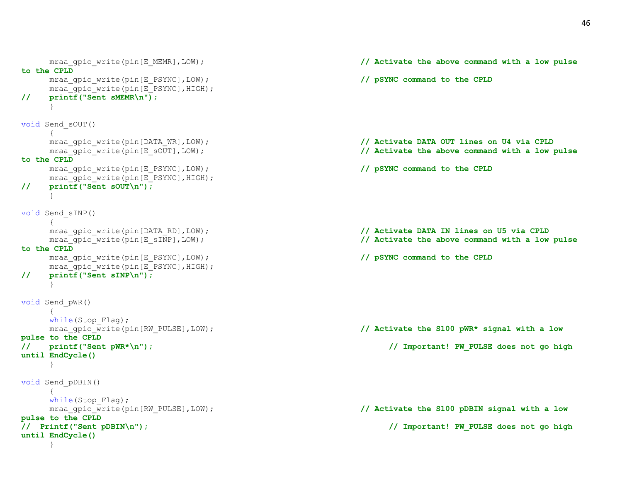```
mraa qpio write(pin[E_MEMR],LOW); // Activate the above command with a low pulse
to the CPLD
    mraa gpio write(pin[E_PSYNC],LOW); // pSYNC command to the CPLD
    mraa gpio write(pin[E_PSYNC], HIGH);
// printf("Sent sMEMR\n");
    }
void Send_sOUT()
    {
    mraa gpio write(pin[DATA_WR],LOW); // Activate DATA OUT lines on U4 via CPLD
    mraa gpio write(pin[E_sOUT],LOW); // Activate the above command with a low pulse
to the CPLD
    mraa gpio write(pin[E_PSYNC],LOW); // pSYNC command to the CPLD
    mraa gpio write(pin[E_PSYNC], HIGH);
// printf("Sent sOUT\n");
    }
void Send_sINP()
    {
    mraa gpio write(pin[DATA_RD],LOW); // Activate DATA IN lines on U5 via CPLD
    mraa gpio write(pin[E_sINP],LOW); // Activate the above command with a low pulse
to the CPLD
    mraa gpio write(pin[E_PSYNC],LOW); // pSYNC command to the CPLD
    mraa qpio write(pin[E_PSYNC], HIGH);
// printf("Sent sINP\n");
    }
void Send_pWR()
    {
    while(Stop Flag);
    mraa gpio write(pin[RW_PULSE],LOW); // Activate the S100 pWR* signal with a low
pulse to the CPLD
// printf("Sent pWR*\n"); // Important! PW_PULSE does not go high 
until EndCycle()
    }
void Send_pDBIN()
    {
    while(Stop Flag);
    mraa gpio write(pin[RW_PULSE],LOW); // Activate the S100 pDBIN signal with a low
pulse to the CPLD
// Printf("Sent pDBIN\n"); // Important! PW_PULSE does not go high 
until EndCycle()
```